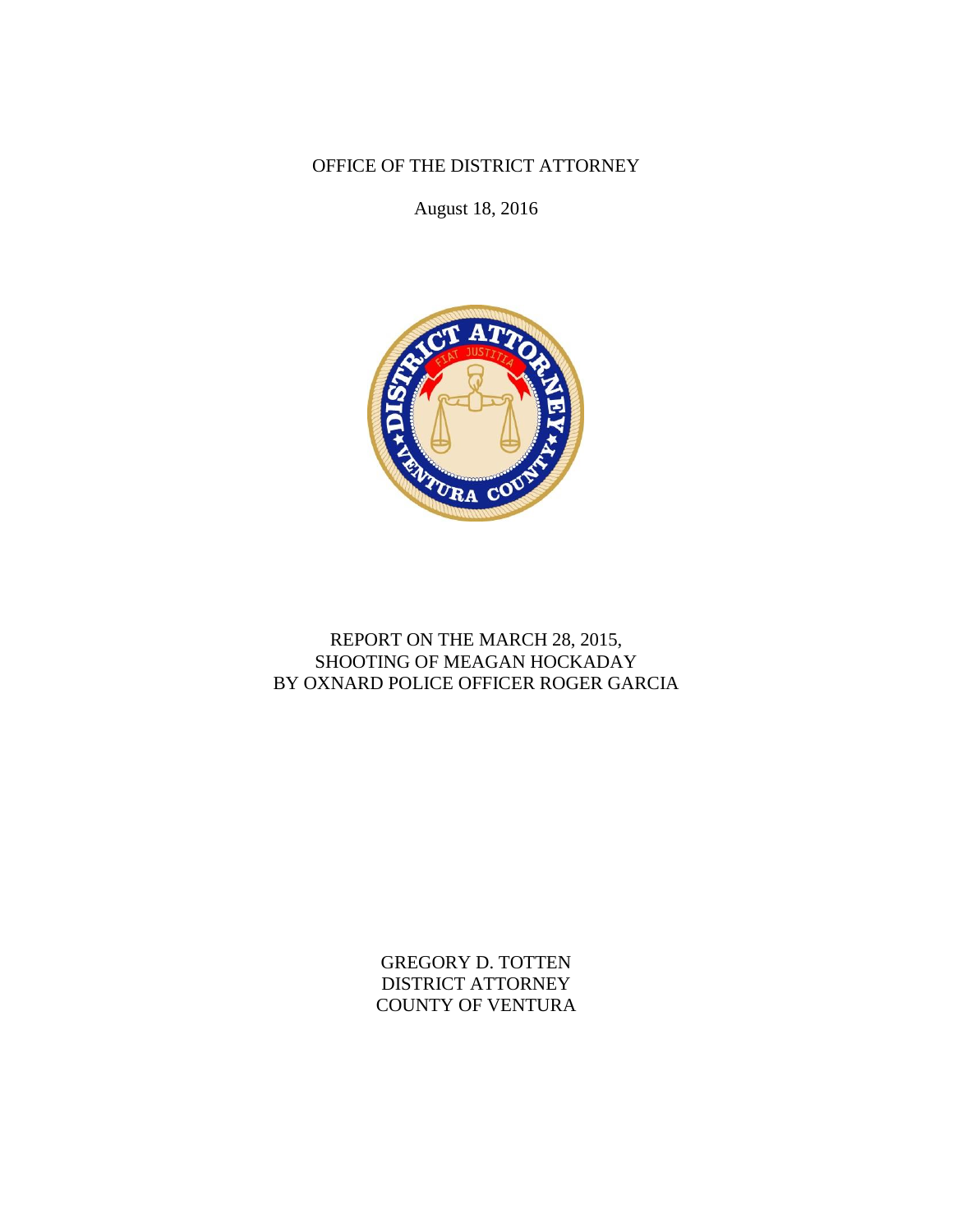OFFICE OF THE DISTRICT ATTORNEY

August 18, 2016



## REPORT ON THE MARCH 28, 2015, SHOOTING OF MEAGAN HOCKADAY BY OXNARD POLICE OFFICER ROGER GARCIA

GREGORY D. TOTTEN DISTRICT ATTORNEY COUNTY OF VENTURA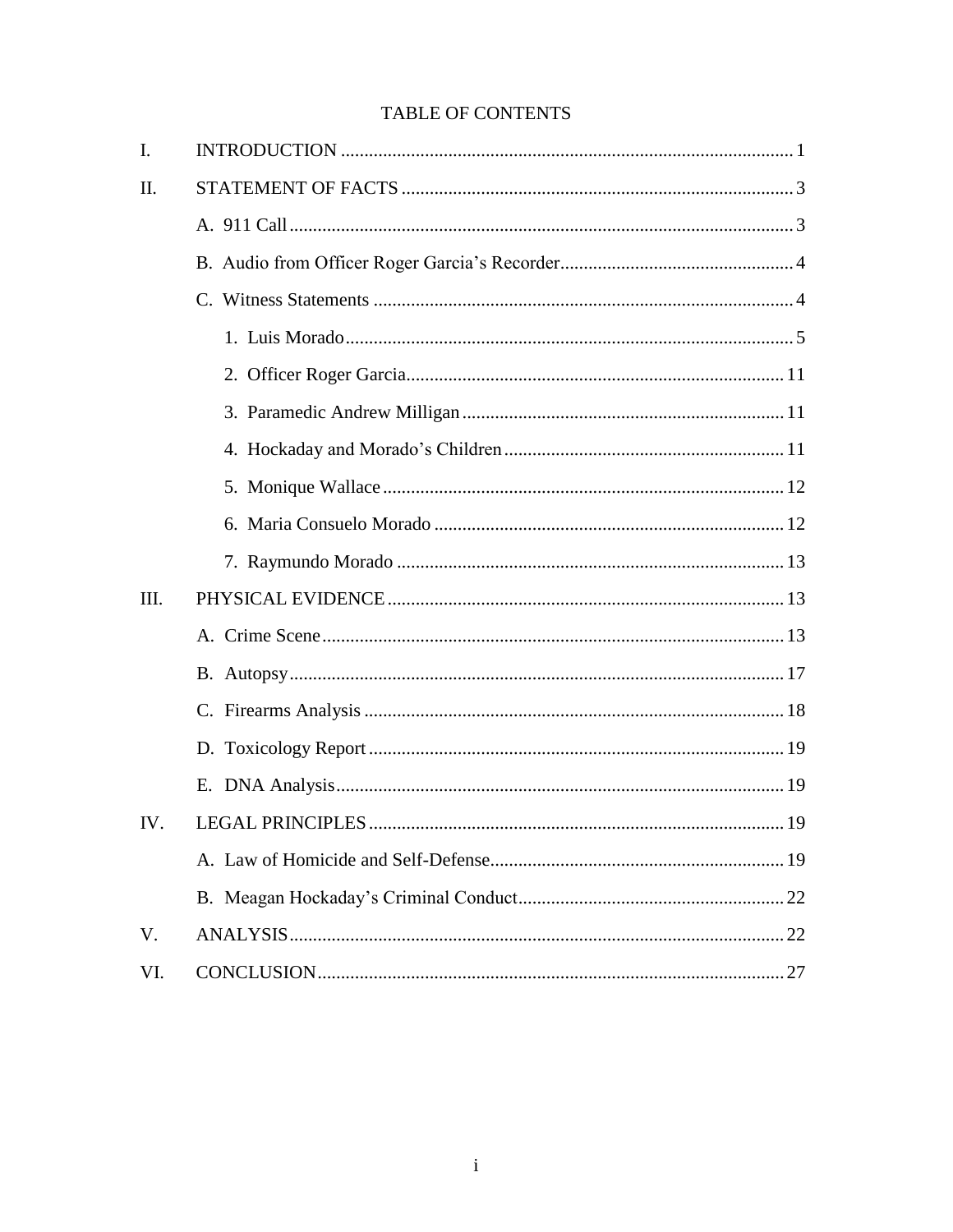# **TABLE OF CONTENTS**

| I.   |  |
|------|--|
| II.  |  |
|      |  |
|      |  |
|      |  |
|      |  |
|      |  |
|      |  |
|      |  |
|      |  |
|      |  |
|      |  |
| III. |  |
|      |  |
|      |  |
|      |  |
|      |  |
|      |  |
| IV.  |  |
|      |  |
|      |  |
| V.   |  |
| VI.  |  |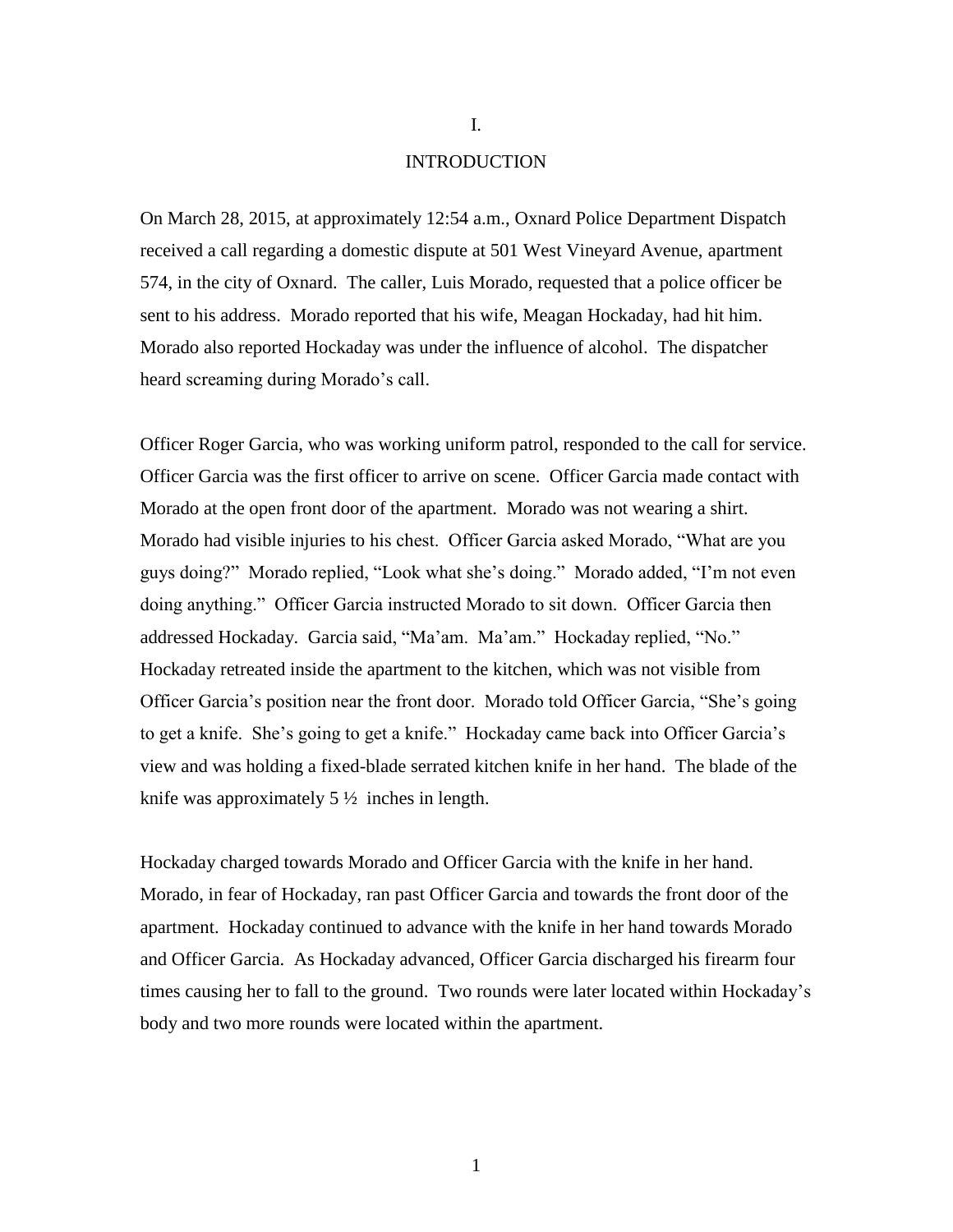### INTRODUCTION

On March 28, 2015, at approximately 12:54 a.m., Oxnard Police Department Dispatch received a call regarding a domestic dispute at 501 West Vineyard Avenue, apartment 574, in the city of Oxnard. The caller, Luis Morado, requested that a police officer be sent to his address. Morado reported that his wife, Meagan Hockaday, had hit him. Morado also reported Hockaday was under the influence of alcohol. The dispatcher heard screaming during Morado's call.

Officer Roger Garcia, who was working uniform patrol, responded to the call for service. Officer Garcia was the first officer to arrive on scene. Officer Garcia made contact with Morado at the open front door of the apartment. Morado was not wearing a shirt. Morado had visible injuries to his chest. Officer Garcia asked Morado, "What are you guys doing?" Morado replied, "Look what she's doing." Morado added, "I'm not even doing anything." Officer Garcia instructed Morado to sit down. Officer Garcia then addressed Hockaday. Garcia said, "Ma'am. Ma'am." Hockaday replied, "No." Hockaday retreated inside the apartment to the kitchen, which was not visible from Officer Garcia's position near the front door. Morado told Officer Garcia, "She's going to get a knife. She's going to get a knife." Hockaday came back into Officer Garcia's view and was holding a fixed-blade serrated kitchen knife in her hand. The blade of the knife was approximately  $5\frac{1}{2}$  inches in length.

Hockaday charged towards Morado and Officer Garcia with the knife in her hand. Morado, in fear of Hockaday, ran past Officer Garcia and towards the front door of the apartment. Hockaday continued to advance with the knife in her hand towards Morado and Officer Garcia. As Hockaday advanced, Officer Garcia discharged his firearm four times causing her to fall to the ground. Two rounds were later located within Hockaday's body and two more rounds were located within the apartment.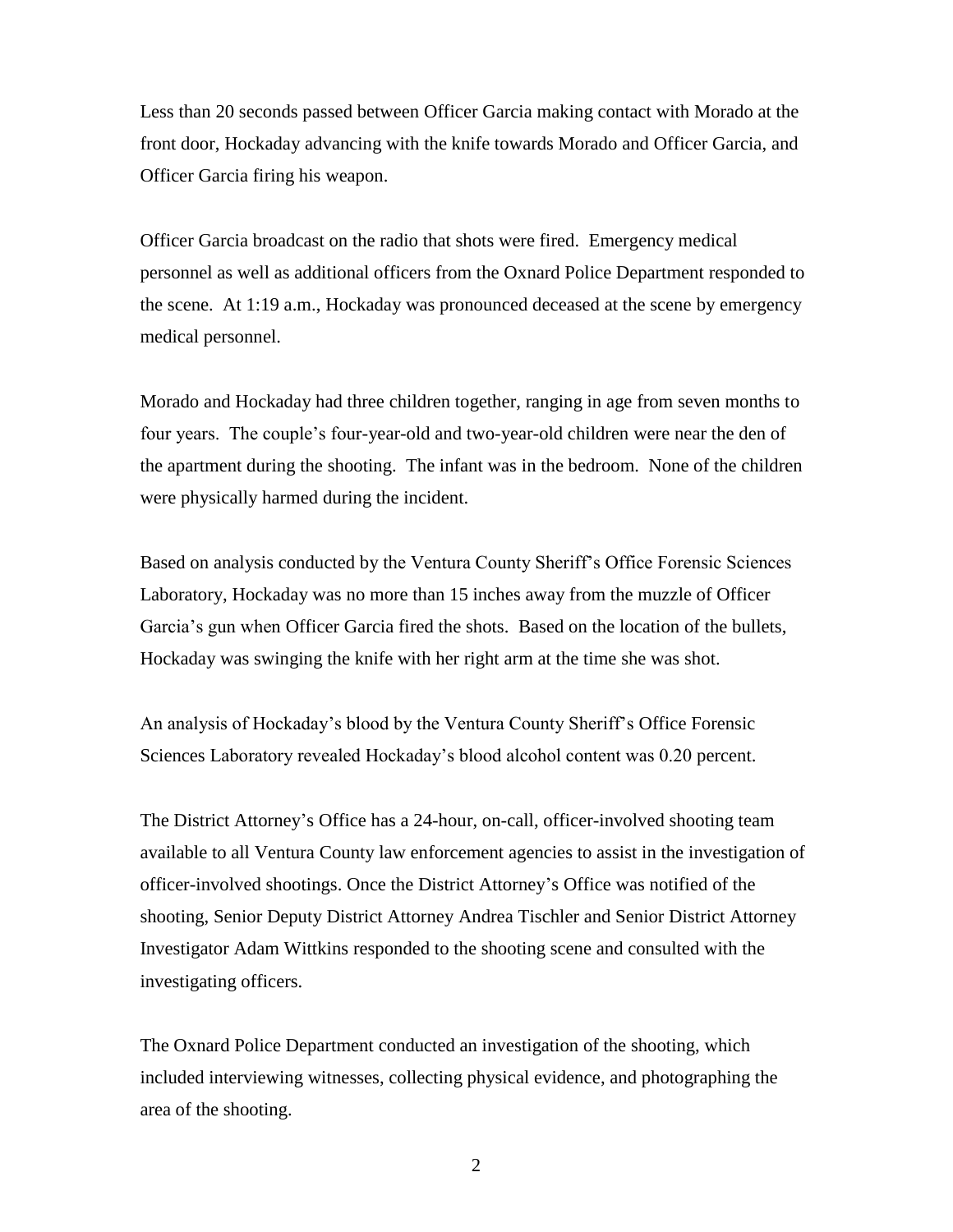Less than 20 seconds passed between Officer Garcia making contact with Morado at the front door, Hockaday advancing with the knife towards Morado and Officer Garcia, and Officer Garcia firing his weapon.

Officer Garcia broadcast on the radio that shots were fired. Emergency medical personnel as well as additional officers from the Oxnard Police Department responded to the scene. At 1:19 a.m., Hockaday was pronounced deceased at the scene by emergency medical personnel.

Morado and Hockaday had three children together, ranging in age from seven months to four years. The couple's four-year-old and two-year-old children were near the den of the apartment during the shooting. The infant was in the bedroom. None of the children were physically harmed during the incident.

Based on analysis conducted by the Ventura County Sheriff's Office Forensic Sciences Laboratory, Hockaday was no more than 15 inches away from the muzzle of Officer Garcia's gun when Officer Garcia fired the shots. Based on the location of the bullets, Hockaday was swinging the knife with her right arm at the time she was shot.

An analysis of Hockaday's blood by the Ventura County Sheriff's Office Forensic Sciences Laboratory revealed Hockaday's blood alcohol content was 0.20 percent.

The District Attorney's Office has a 24-hour, on-call, officer-involved shooting team available to all Ventura County law enforcement agencies to assist in the investigation of officer-involved shootings. Once the District Attorney's Office was notified of the shooting, Senior Deputy District Attorney Andrea Tischler and Senior District Attorney Investigator Adam Wittkins responded to the shooting scene and consulted with the investigating officers.

The Oxnard Police Department conducted an investigation of the shooting, which included interviewing witnesses, collecting physical evidence, and photographing the area of the shooting.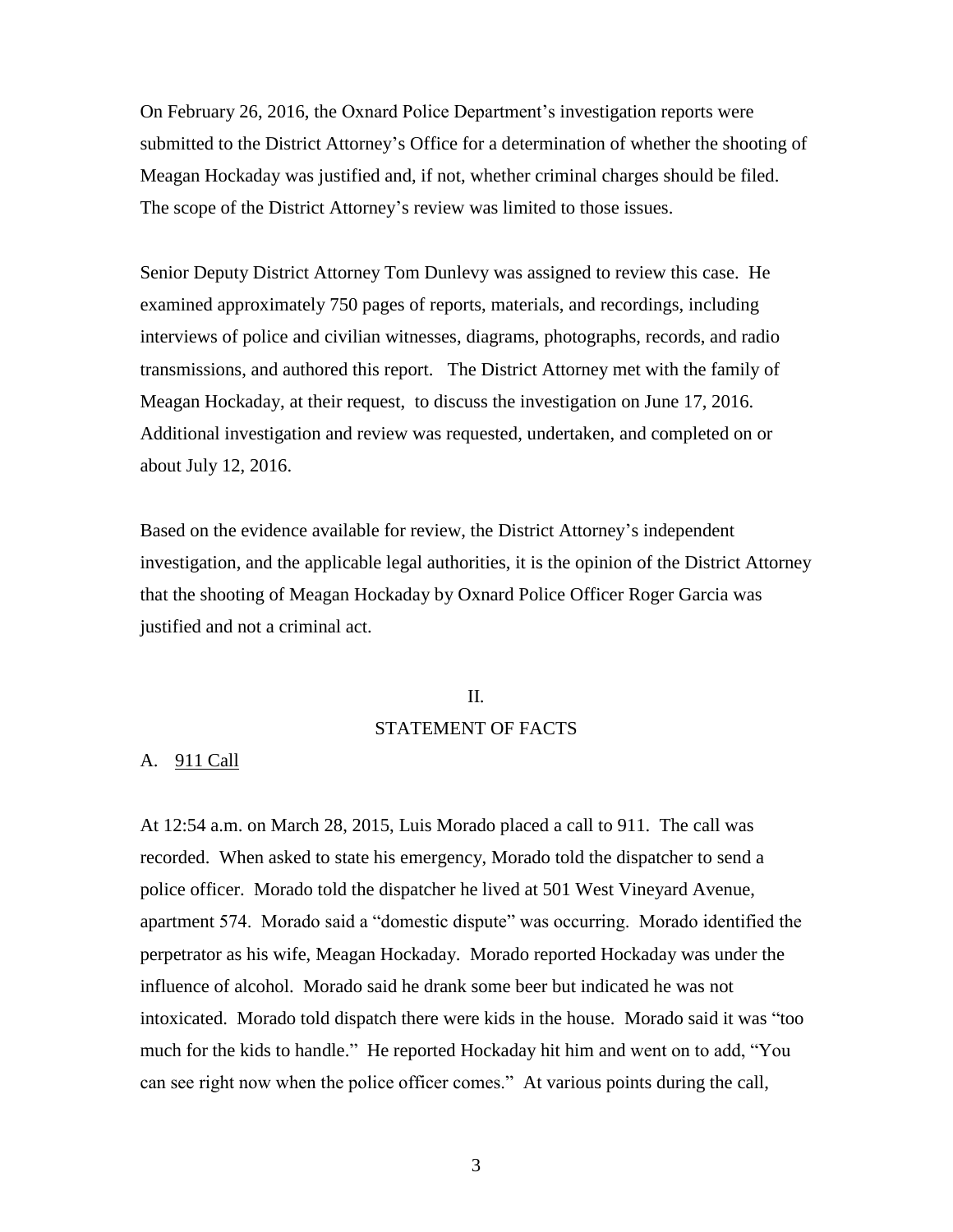On February 26, 2016, the Oxnard Police Department's investigation reports were submitted to the District Attorney's Office for a determination of whether the shooting of Meagan Hockaday was justified and, if not, whether criminal charges should be filed. The scope of the District Attorney's review was limited to those issues.

Senior Deputy District Attorney Tom Dunlevy was assigned to review this case. He examined approximately 750 pages of reports, materials, and recordings, including interviews of police and civilian witnesses, diagrams, photographs, records, and radio transmissions, and authored this report. The District Attorney met with the family of Meagan Hockaday, at their request, to discuss the investigation on June 17, 2016. Additional investigation and review was requested, undertaken, and completed on or about July 12, 2016.

Based on the evidence available for review, the District Attorney's independent investigation, and the applicable legal authorities, it is the opinion of the District Attorney that the shooting of Meagan Hockaday by Oxnard Police Officer Roger Garcia was justified and not a criminal act.

### II.

### STATEMENT OF FACTS

### A. 911 Call

At 12:54 a.m. on March 28, 2015, Luis Morado placed a call to 911. The call was recorded. When asked to state his emergency, Morado told the dispatcher to send a police officer. Morado told the dispatcher he lived at 501 West Vineyard Avenue, apartment 574. Morado said a "domestic dispute" was occurring. Morado identified the perpetrator as his wife, Meagan Hockaday. Morado reported Hockaday was under the influence of alcohol. Morado said he drank some beer but indicated he was not intoxicated. Morado told dispatch there were kids in the house. Morado said it was "too much for the kids to handle." He reported Hockaday hit him and went on to add, "You can see right now when the police officer comes." At various points during the call,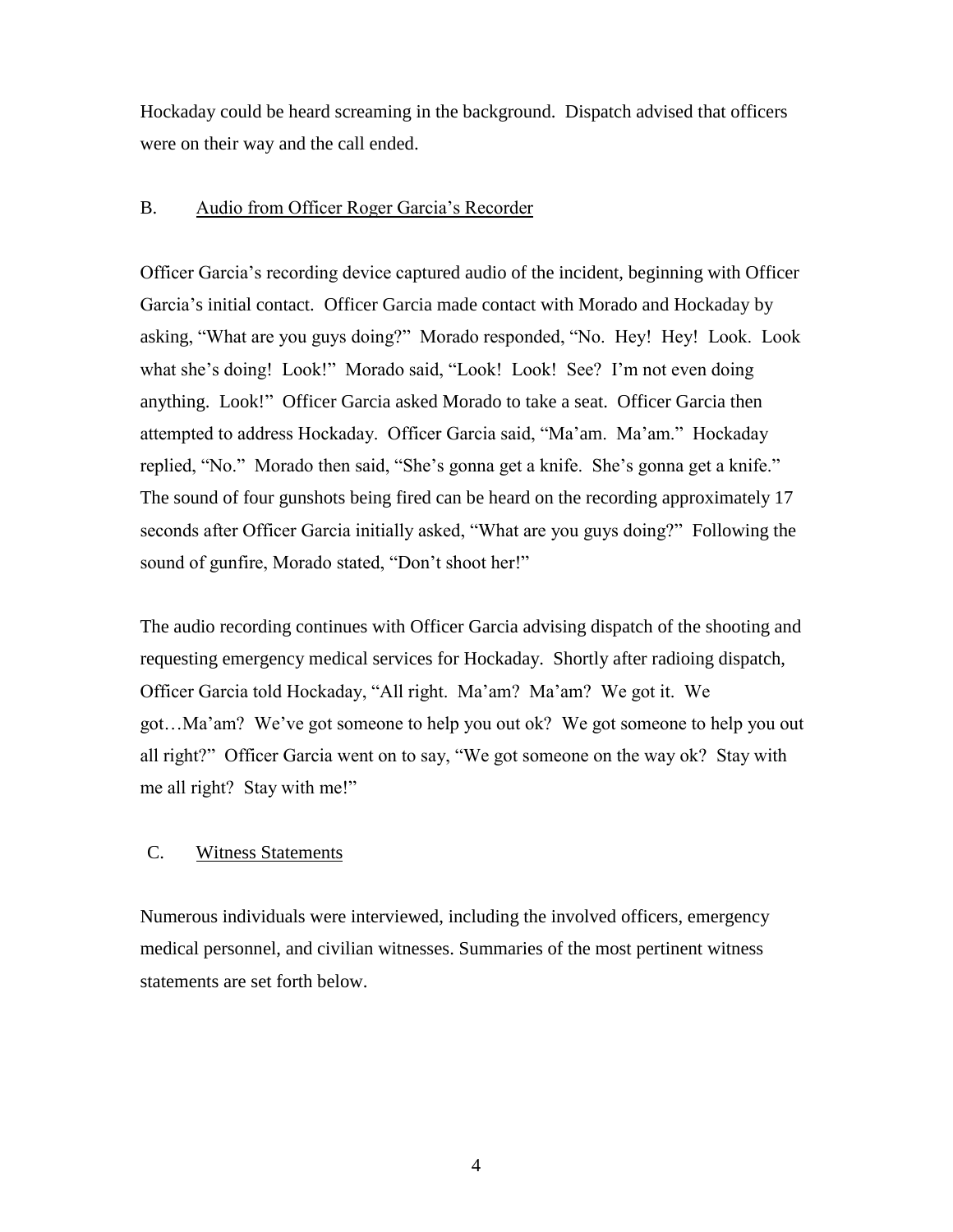Hockaday could be heard screaming in the background. Dispatch advised that officers were on their way and the call ended.

## B. Audio from Officer Roger Garcia's Recorder

Officer Garcia's recording device captured audio of the incident, beginning with Officer Garcia's initial contact. Officer Garcia made contact with Morado and Hockaday by asking, "What are you guys doing?" Morado responded, "No. Hey! Hey! Look. Look what she's doing! Look!" Morado said, "Look! Look! See? I'm not even doing anything. Look!" Officer Garcia asked Morado to take a seat. Officer Garcia then attempted to address Hockaday. Officer Garcia said, "Ma'am. Ma'am." Hockaday replied, "No." Morado then said, "She's gonna get a knife. She's gonna get a knife." The sound of four gunshots being fired can be heard on the recording approximately 17 seconds after Officer Garcia initially asked, "What are you guys doing?" Following the sound of gunfire, Morado stated, "Don't shoot her!"

The audio recording continues with Officer Garcia advising dispatch of the shooting and requesting emergency medical services for Hockaday. Shortly after radioing dispatch, Officer Garcia told Hockaday, "All right. Ma'am? Ma'am? We got it. We got…Ma'am? We've got someone to help you out ok? We got someone to help you out all right?" Officer Garcia went on to say, "We got someone on the way ok? Stay with me all right? Stay with me!"

### C. Witness Statements

Numerous individuals were interviewed, including the involved officers, emergency medical personnel, and civilian witnesses. Summaries of the most pertinent witness statements are set forth below.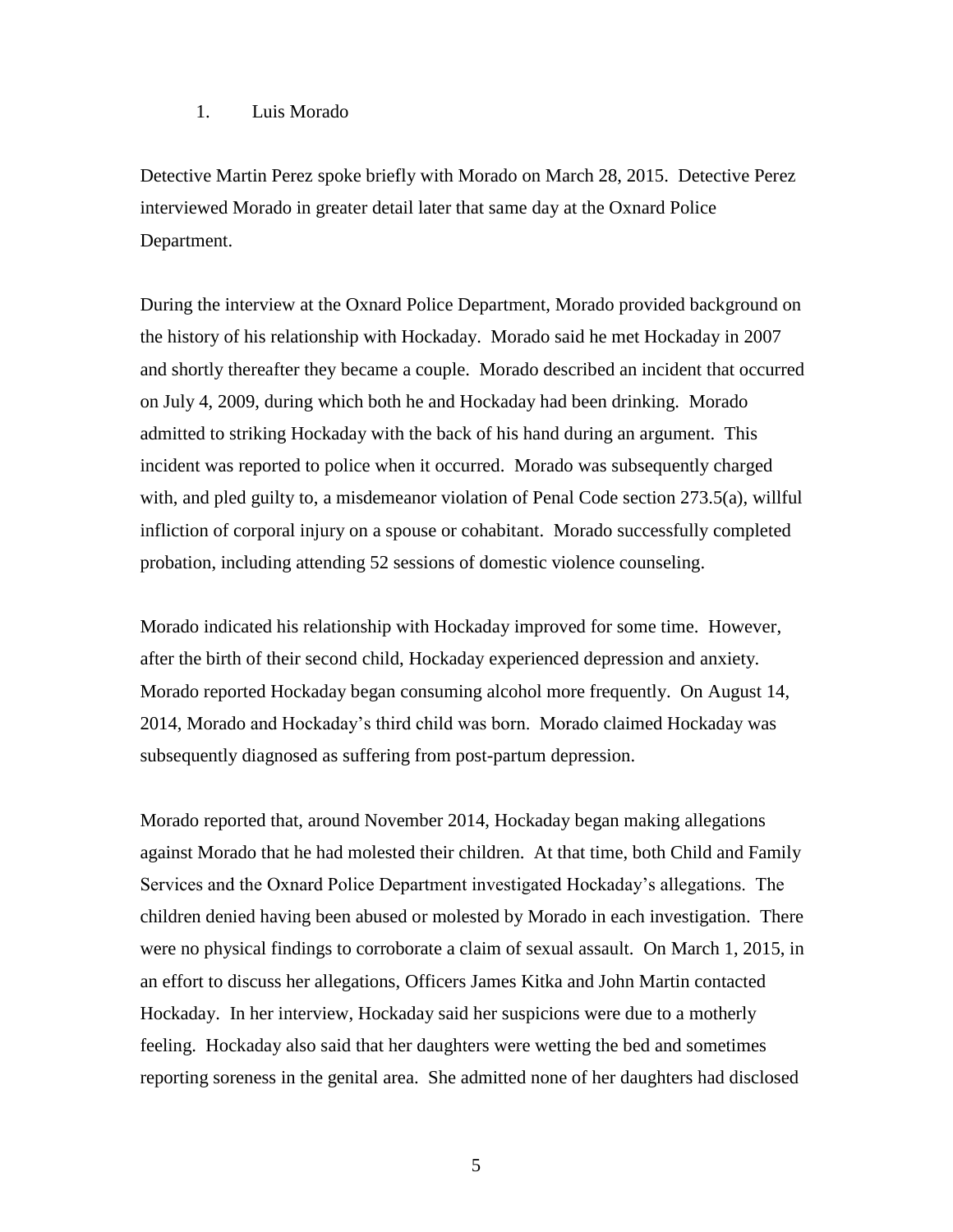### 1. Luis Morado

Detective Martin Perez spoke briefly with Morado on March 28, 2015. Detective Perez interviewed Morado in greater detail later that same day at the Oxnard Police Department.

During the interview at the Oxnard Police Department, Morado provided background on the history of his relationship with Hockaday. Morado said he met Hockaday in 2007 and shortly thereafter they became a couple. Morado described an incident that occurred on July 4, 2009, during which both he and Hockaday had been drinking. Morado admitted to striking Hockaday with the back of his hand during an argument. This incident was reported to police when it occurred. Morado was subsequently charged with, and pled guilty to, a misdemeanor violation of Penal Code section 273.5(a), willful infliction of corporal injury on a spouse or cohabitant. Morado successfully completed probation, including attending 52 sessions of domestic violence counseling.

Morado indicated his relationship with Hockaday improved for some time. However, after the birth of their second child, Hockaday experienced depression and anxiety. Morado reported Hockaday began consuming alcohol more frequently. On August 14, 2014, Morado and Hockaday's third child was born. Morado claimed Hockaday was subsequently diagnosed as suffering from post-partum depression.

Morado reported that, around November 2014, Hockaday began making allegations against Morado that he had molested their children. At that time, both Child and Family Services and the Oxnard Police Department investigated Hockaday's allegations. The children denied having been abused or molested by Morado in each investigation. There were no physical findings to corroborate a claim of sexual assault. On March 1, 2015, in an effort to discuss her allegations, Officers James Kitka and John Martin contacted Hockaday. In her interview, Hockaday said her suspicions were due to a motherly feeling. Hockaday also said that her daughters were wetting the bed and sometimes reporting soreness in the genital area. She admitted none of her daughters had disclosed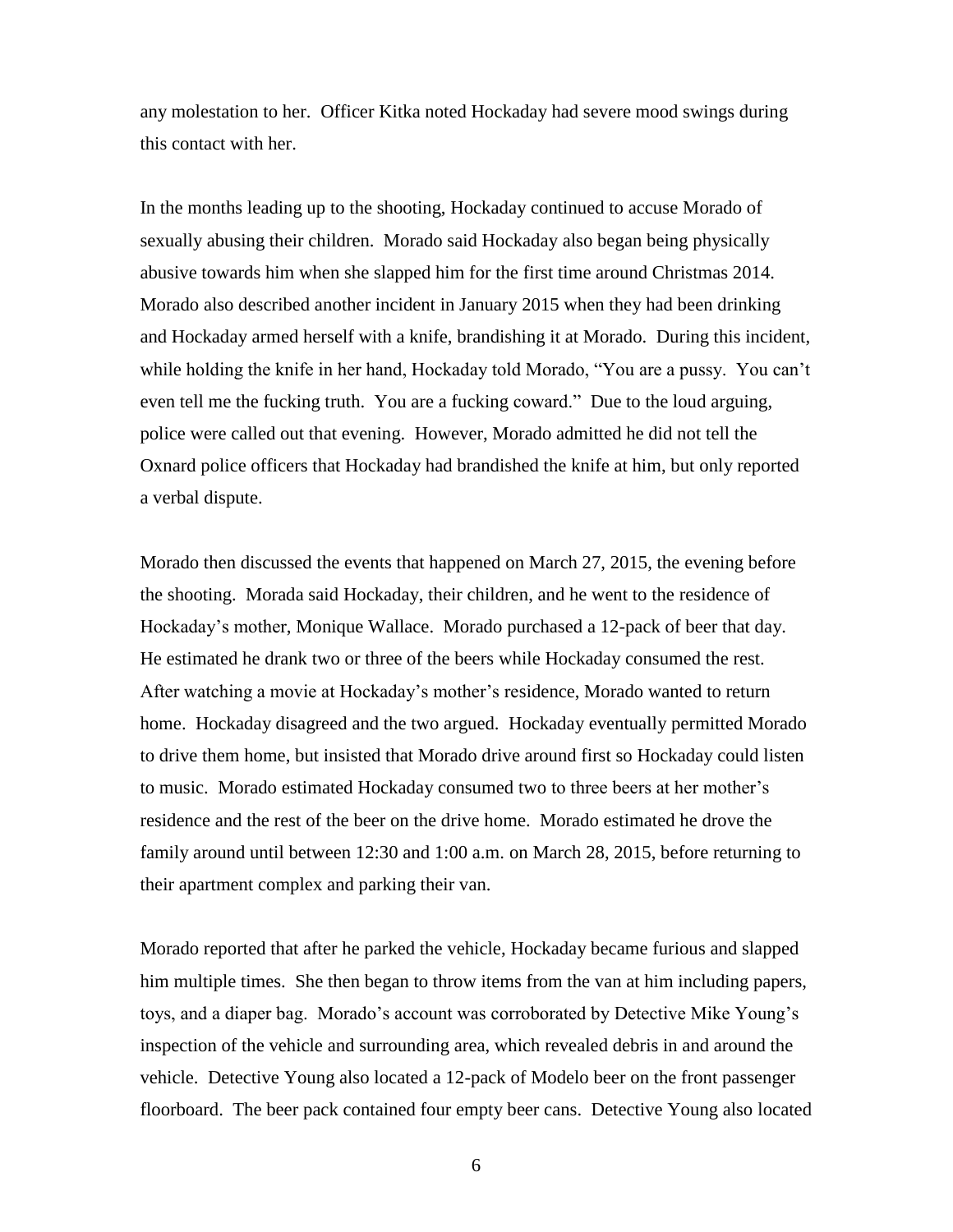any molestation to her. Officer Kitka noted Hockaday had severe mood swings during this contact with her.

In the months leading up to the shooting, Hockaday continued to accuse Morado of sexually abusing their children. Morado said Hockaday also began being physically abusive towards him when she slapped him for the first time around Christmas 2014. Morado also described another incident in January 2015 when they had been drinking and Hockaday armed herself with a knife, brandishing it at Morado. During this incident, while holding the knife in her hand, Hockaday told Morado, "You are a pussy. You can't even tell me the fucking truth. You are a fucking coward." Due to the loud arguing, police were called out that evening. However, Morado admitted he did not tell the Oxnard police officers that Hockaday had brandished the knife at him, but only reported a verbal dispute.

Morado then discussed the events that happened on March 27, 2015, the evening before the shooting. Morada said Hockaday, their children, and he went to the residence of Hockaday's mother, Monique Wallace. Morado purchased a 12-pack of beer that day. He estimated he drank two or three of the beers while Hockaday consumed the rest. After watching a movie at Hockaday's mother's residence, Morado wanted to return home. Hockaday disagreed and the two argued. Hockaday eventually permitted Morado to drive them home, but insisted that Morado drive around first so Hockaday could listen to music. Morado estimated Hockaday consumed two to three beers at her mother's residence and the rest of the beer on the drive home. Morado estimated he drove the family around until between 12:30 and 1:00 a.m. on March 28, 2015, before returning to their apartment complex and parking their van.

Morado reported that after he parked the vehicle, Hockaday became furious and slapped him multiple times. She then began to throw items from the van at him including papers, toys, and a diaper bag. Morado's account was corroborated by Detective Mike Young's inspection of the vehicle and surrounding area, which revealed debris in and around the vehicle. Detective Young also located a 12-pack of Modelo beer on the front passenger floorboard. The beer pack contained four empty beer cans. Detective Young also located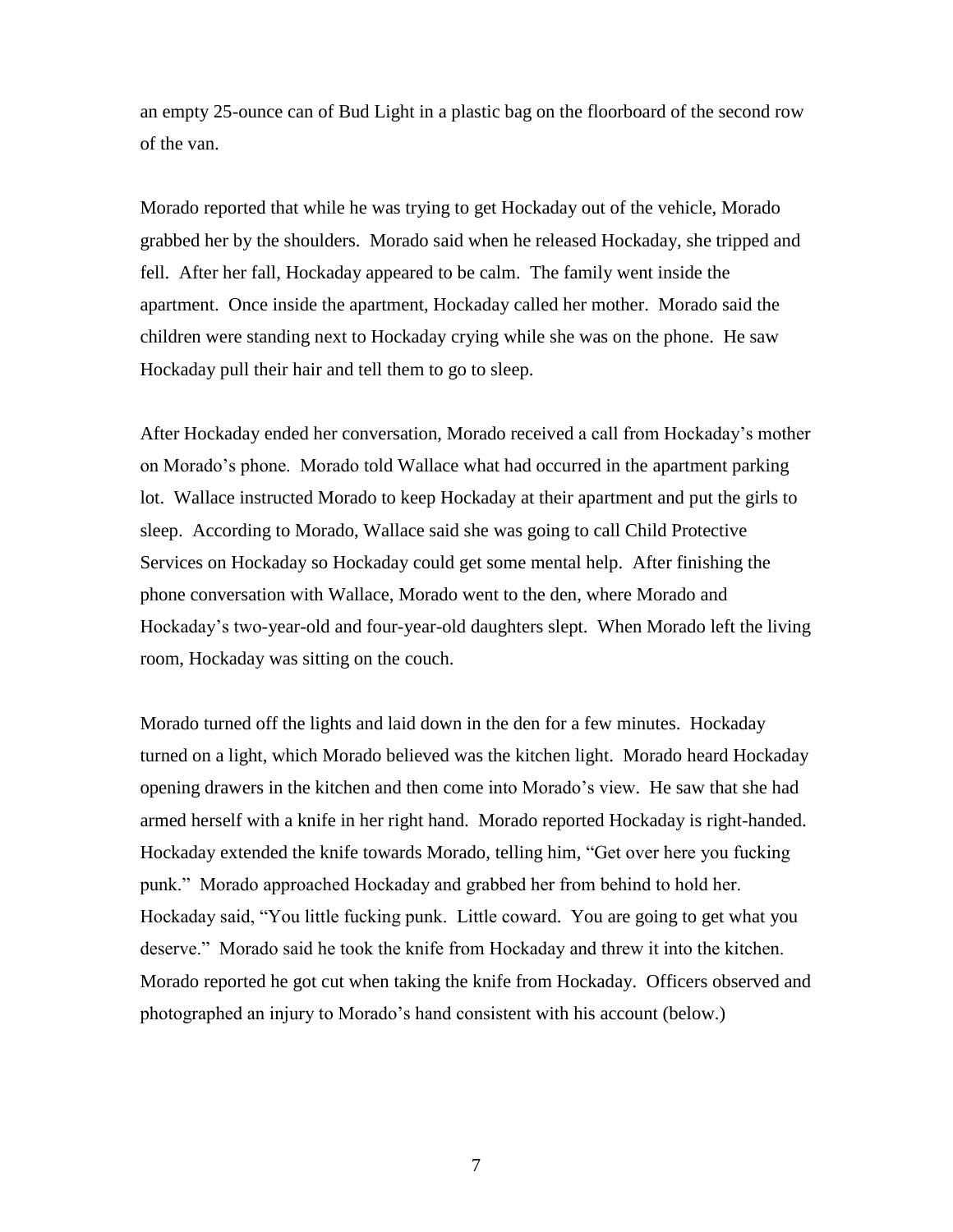an empty 25-ounce can of Bud Light in a plastic bag on the floorboard of the second row of the van.

Morado reported that while he was trying to get Hockaday out of the vehicle, Morado grabbed her by the shoulders. Morado said when he released Hockaday, she tripped and fell. After her fall, Hockaday appeared to be calm. The family went inside the apartment. Once inside the apartment, Hockaday called her mother. Morado said the children were standing next to Hockaday crying while she was on the phone. He saw Hockaday pull their hair and tell them to go to sleep.

After Hockaday ended her conversation, Morado received a call from Hockaday's mother on Morado's phone. Morado told Wallace what had occurred in the apartment parking lot. Wallace instructed Morado to keep Hockaday at their apartment and put the girls to sleep. According to Morado, Wallace said she was going to call Child Protective Services on Hockaday so Hockaday could get some mental help. After finishing the phone conversation with Wallace, Morado went to the den, where Morado and Hockaday's two-year-old and four-year-old daughters slept. When Morado left the living room, Hockaday was sitting on the couch.

Morado turned off the lights and laid down in the den for a few minutes. Hockaday turned on a light, which Morado believed was the kitchen light. Morado heard Hockaday opening drawers in the kitchen and then come into Morado's view. He saw that she had armed herself with a knife in her right hand. Morado reported Hockaday is right-handed. Hockaday extended the knife towards Morado, telling him, "Get over here you fucking punk." Morado approached Hockaday and grabbed her from behind to hold her. Hockaday said, "You little fucking punk. Little coward. You are going to get what you deserve." Morado said he took the knife from Hockaday and threw it into the kitchen. Morado reported he got cut when taking the knife from Hockaday. Officers observed and photographed an injury to Morado's hand consistent with his account (below.)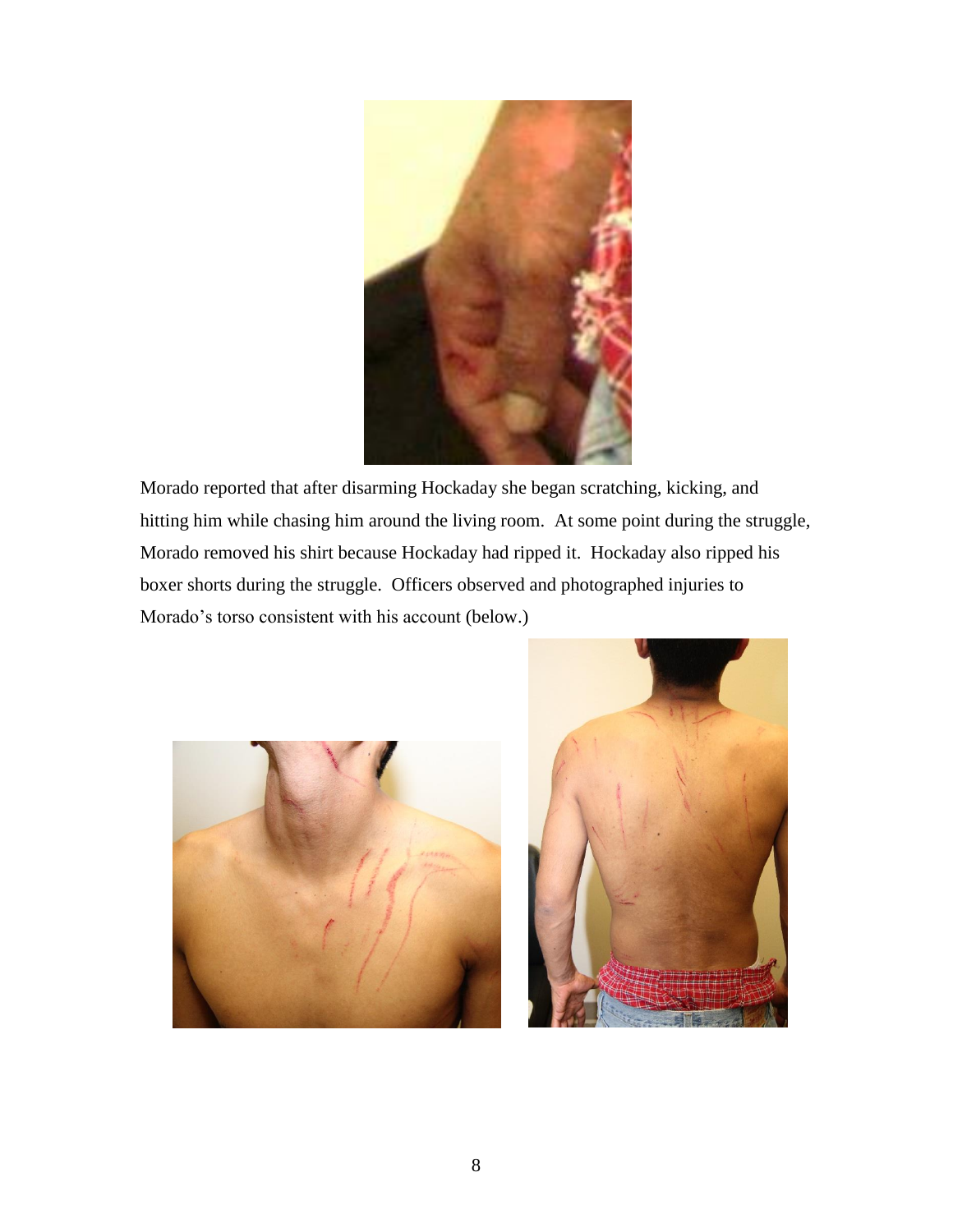

Morado reported that after disarming Hockaday she began scratching, kicking, and hitting him while chasing him around the living room. At some point during the struggle, Morado removed his shirt because Hockaday had ripped it. Hockaday also ripped his boxer shorts during the struggle. Officers observed and photographed injuries to Morado's torso consistent with his account (below.)



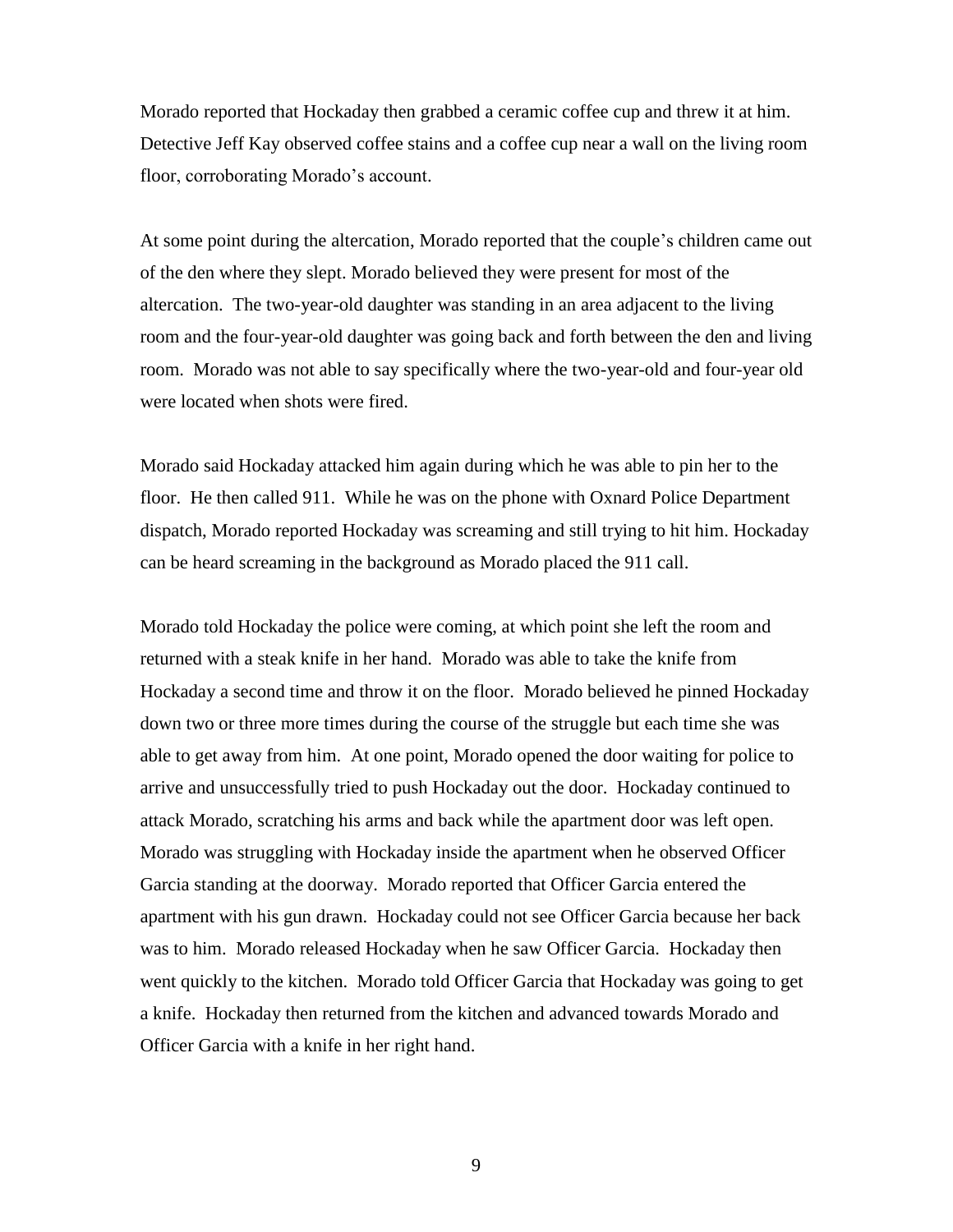Morado reported that Hockaday then grabbed a ceramic coffee cup and threw it at him. Detective Jeff Kay observed coffee stains and a coffee cup near a wall on the living room floor, corroborating Morado's account.

At some point during the altercation, Morado reported that the couple's children came out of the den where they slept. Morado believed they were present for most of the altercation. The two-year-old daughter was standing in an area adjacent to the living room and the four-year-old daughter was going back and forth between the den and living room. Morado was not able to say specifically where the two-year-old and four-year old were located when shots were fired.

Morado said Hockaday attacked him again during which he was able to pin her to the floor. He then called 911. While he was on the phone with Oxnard Police Department dispatch, Morado reported Hockaday was screaming and still trying to hit him. Hockaday can be heard screaming in the background as Morado placed the 911 call.

Morado told Hockaday the police were coming, at which point she left the room and returned with a steak knife in her hand. Morado was able to take the knife from Hockaday a second time and throw it on the floor. Morado believed he pinned Hockaday down two or three more times during the course of the struggle but each time she was able to get away from him. At one point, Morado opened the door waiting for police to arrive and unsuccessfully tried to push Hockaday out the door. Hockaday continued to attack Morado, scratching his arms and back while the apartment door was left open. Morado was struggling with Hockaday inside the apartment when he observed Officer Garcia standing at the doorway. Morado reported that Officer Garcia entered the apartment with his gun drawn. Hockaday could not see Officer Garcia because her back was to him. Morado released Hockaday when he saw Officer Garcia. Hockaday then went quickly to the kitchen. Morado told Officer Garcia that Hockaday was going to get a knife. Hockaday then returned from the kitchen and advanced towards Morado and Officer Garcia with a knife in her right hand.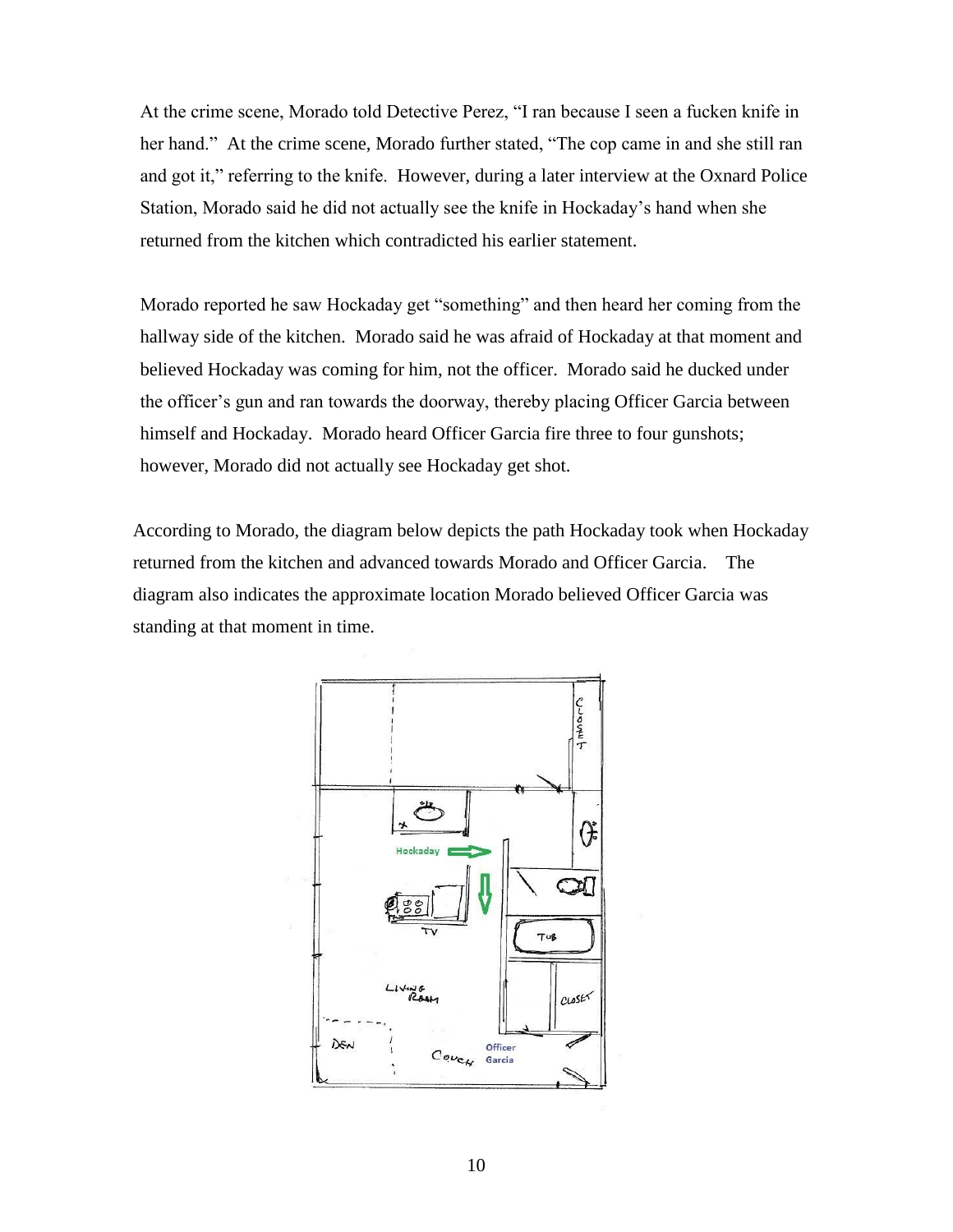At the crime scene, Morado told Detective Perez, "I ran because I seen a fucken knife in her hand." At the crime scene, Morado further stated, "The cop came in and she still ran and got it," referring to the knife. However, during a later interview at the Oxnard Police Station, Morado said he did not actually see the knife in Hockaday's hand when she returned from the kitchen which contradicted his earlier statement.

Morado reported he saw Hockaday get "something" and then heard her coming from the hallway side of the kitchen. Morado said he was afraid of Hockaday at that moment and believed Hockaday was coming for him, not the officer. Morado said he ducked under the officer's gun and ran towards the doorway, thereby placing Officer Garcia between himself and Hockaday. Morado heard Officer Garcia fire three to four gunshots; however, Morado did not actually see Hockaday get shot.

According to Morado, the diagram below depicts the path Hockaday took when Hockaday returned from the kitchen and advanced towards Morado and Officer Garcia. The diagram also indicates the approximate location Morado believed Officer Garcia was standing at that moment in time.

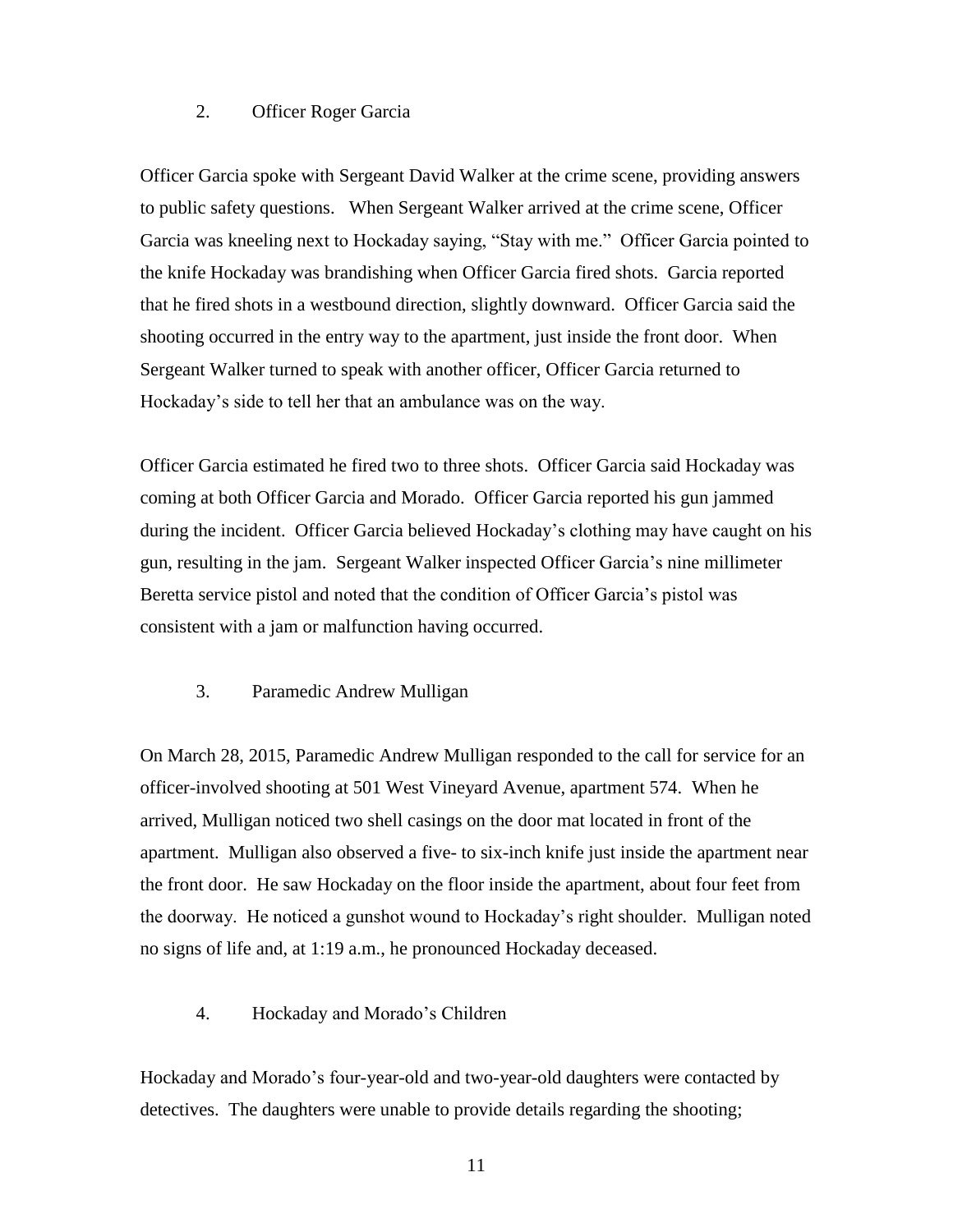### 2. Officer Roger Garcia

Officer Garcia spoke with Sergeant David Walker at the crime scene, providing answers to public safety questions. When Sergeant Walker arrived at the crime scene, Officer Garcia was kneeling next to Hockaday saying, "Stay with me." Officer Garcia pointed to the knife Hockaday was brandishing when Officer Garcia fired shots. Garcia reported that he fired shots in a westbound direction, slightly downward. Officer Garcia said the shooting occurred in the entry way to the apartment, just inside the front door. When Sergeant Walker turned to speak with another officer, Officer Garcia returned to Hockaday's side to tell her that an ambulance was on the way.

Officer Garcia estimated he fired two to three shots. Officer Garcia said Hockaday was coming at both Officer Garcia and Morado. Officer Garcia reported his gun jammed during the incident. Officer Garcia believed Hockaday's clothing may have caught on his gun, resulting in the jam. Sergeant Walker inspected Officer Garcia's nine millimeter Beretta service pistol and noted that the condition of Officer Garcia's pistol was consistent with a jam or malfunction having occurred.

### 3. Paramedic Andrew Mulligan

On March 28, 2015, Paramedic Andrew Mulligan responded to the call for service for an officer-involved shooting at 501 West Vineyard Avenue, apartment 574. When he arrived, Mulligan noticed two shell casings on the door mat located in front of the apartment. Mulligan also observed a five- to six-inch knife just inside the apartment near the front door. He saw Hockaday on the floor inside the apartment, about four feet from the doorway. He noticed a gunshot wound to Hockaday's right shoulder. Mulligan noted no signs of life and, at 1:19 a.m., he pronounced Hockaday deceased.

### 4. Hockaday and Morado's Children

Hockaday and Morado's four-year-old and two-year-old daughters were contacted by detectives. The daughters were unable to provide details regarding the shooting;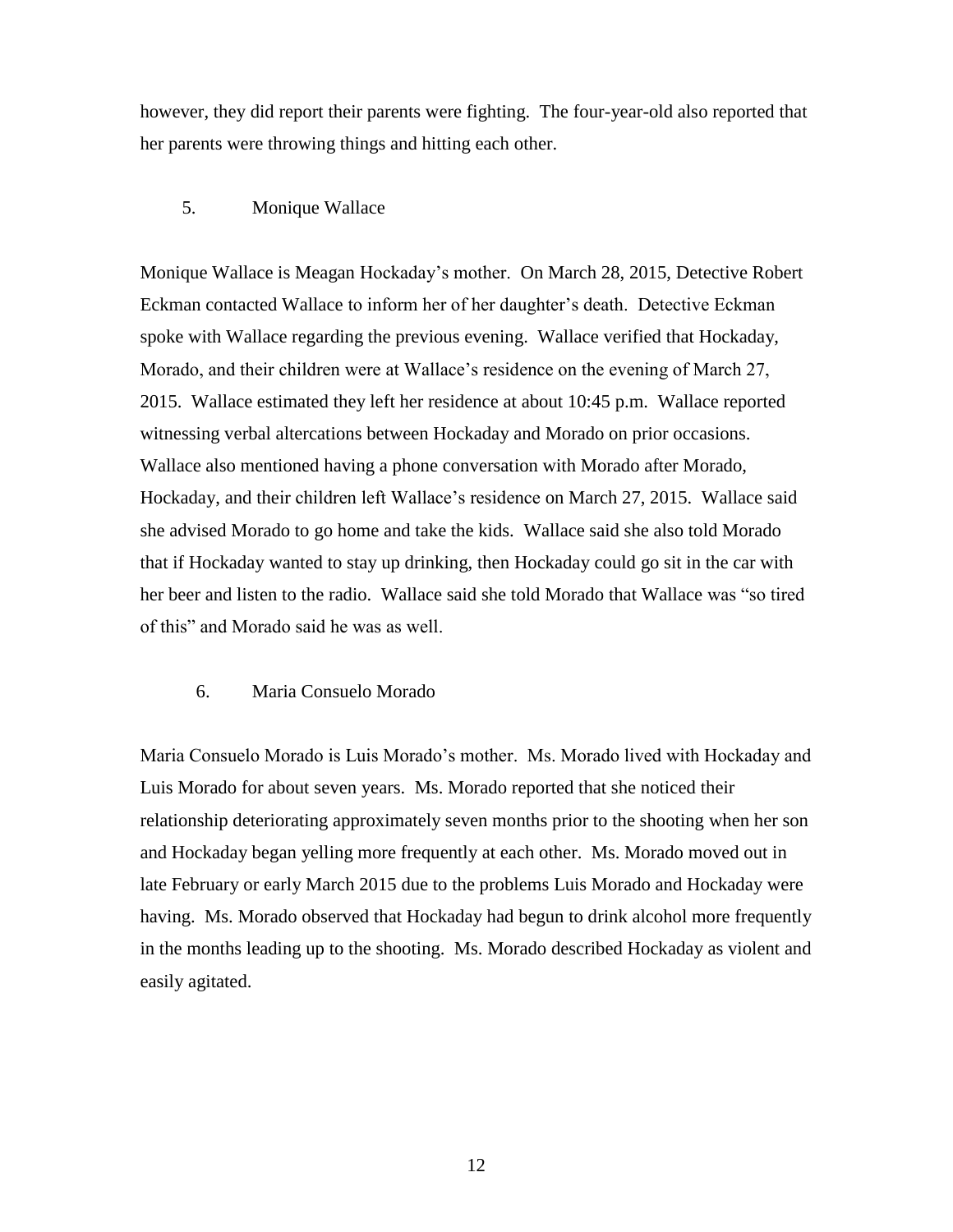however, they did report their parents were fighting. The four-year-old also reported that her parents were throwing things and hitting each other.

## 5. Monique Wallace

Monique Wallace is Meagan Hockaday's mother. On March 28, 2015, Detective Robert Eckman contacted Wallace to inform her of her daughter's death. Detective Eckman spoke with Wallace regarding the previous evening. Wallace verified that Hockaday, Morado, and their children were at Wallace's residence on the evening of March 27, 2015. Wallace estimated they left her residence at about 10:45 p.m. Wallace reported witnessing verbal altercations between Hockaday and Morado on prior occasions. Wallace also mentioned having a phone conversation with Morado after Morado, Hockaday, and their children left Wallace's residence on March 27, 2015. Wallace said she advised Morado to go home and take the kids. Wallace said she also told Morado that if Hockaday wanted to stay up drinking, then Hockaday could go sit in the car with her beer and listen to the radio. Wallace said she told Morado that Wallace was "so tired of this" and Morado said he was as well.

### 6. Maria Consuelo Morado

Maria Consuelo Morado is Luis Morado's mother. Ms. Morado lived with Hockaday and Luis Morado for about seven years. Ms. Morado reported that she noticed their relationship deteriorating approximately seven months prior to the shooting when her son and Hockaday began yelling more frequently at each other. Ms. Morado moved out in late February or early March 2015 due to the problems Luis Morado and Hockaday were having. Ms. Morado observed that Hockaday had begun to drink alcohol more frequently in the months leading up to the shooting. Ms. Morado described Hockaday as violent and easily agitated.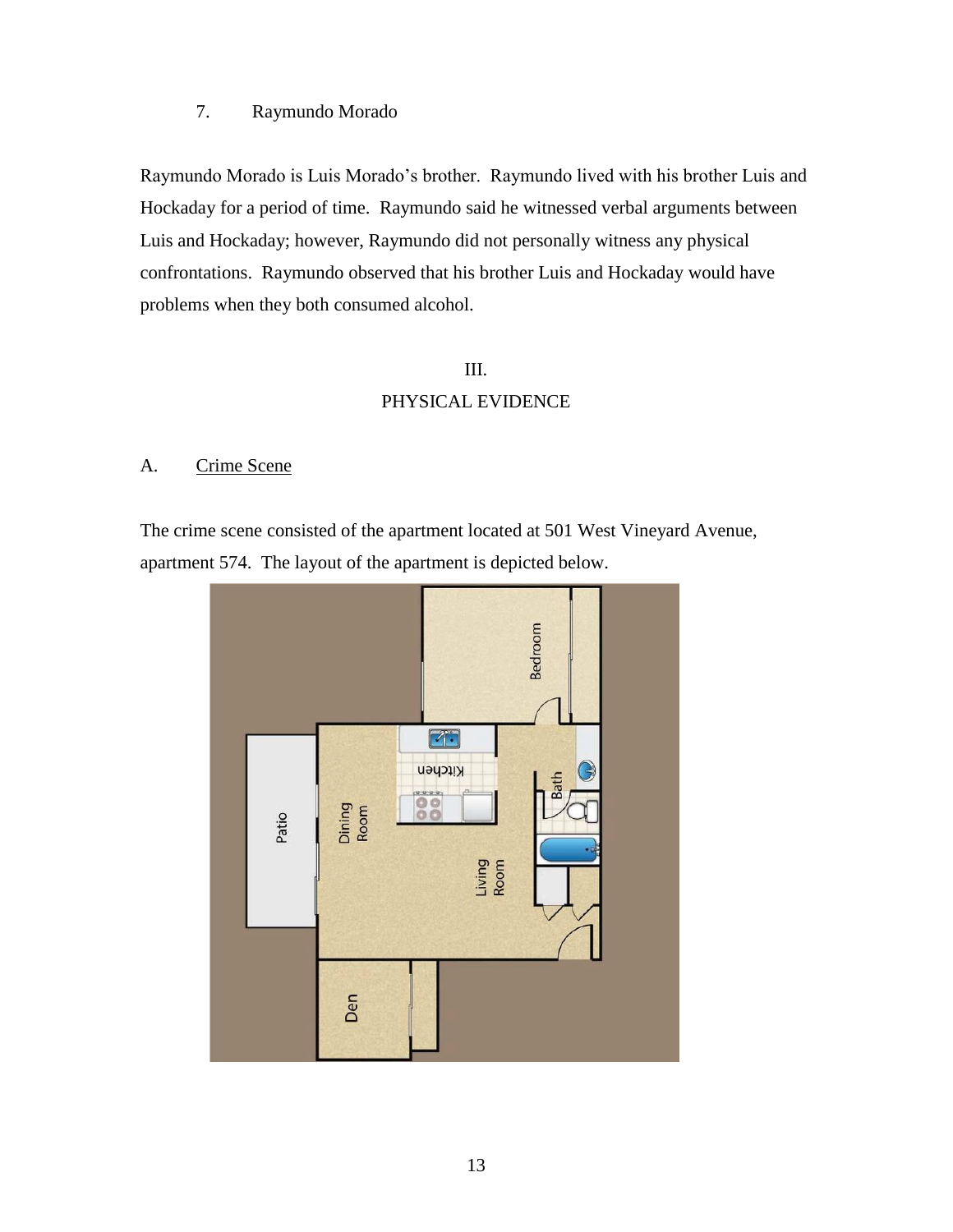## 7. Raymundo Morado

Raymundo Morado is Luis Morado's brother. Raymundo lived with his brother Luis and Hockaday for a period of time. Raymundo said he witnessed verbal arguments between Luis and Hockaday; however, Raymundo did not personally witness any physical confrontations. Raymundo observed that his brother Luis and Hockaday would have problems when they both consumed alcohol.

## III.

## PHYSICAL EVIDENCE

### A. Crime Scene

The crime scene consisted of the apartment located at 501 West Vineyard Avenue, apartment 574. The layout of the apartment is depicted below.

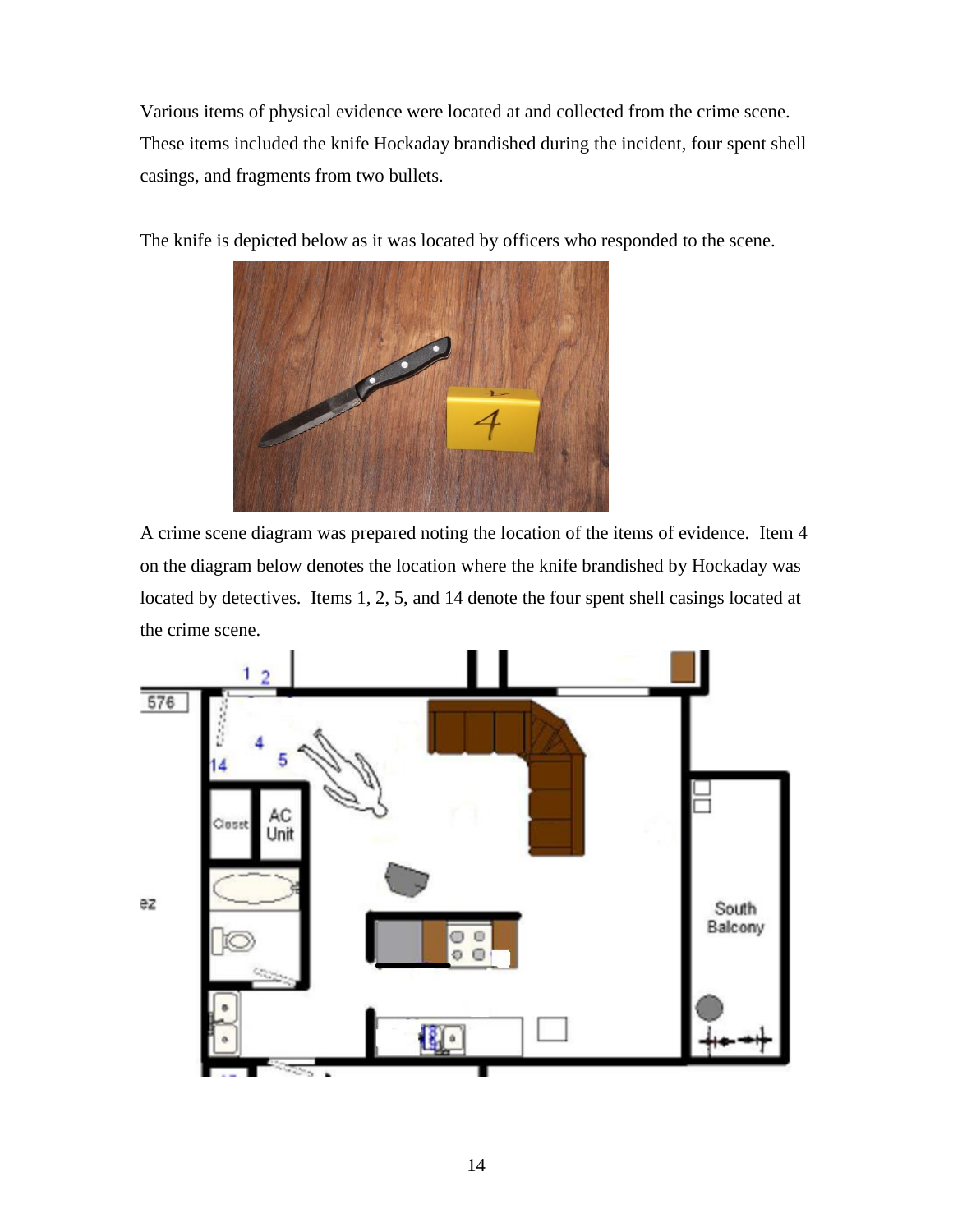Various items of physical evidence were located at and collected from the crime scene. These items included the knife Hockaday brandished during the incident, four spent shell casings, and fragments from two bullets.



The knife is depicted below as it was located by officers who responded to the scene.

A crime scene diagram was prepared noting the location of the items of evidence. Item 4 on the diagram below denotes the location where the knife brandished by Hockaday was located by detectives. Items 1, 2, 5, and 14 denote the four spent shell casings located at the crime scene.

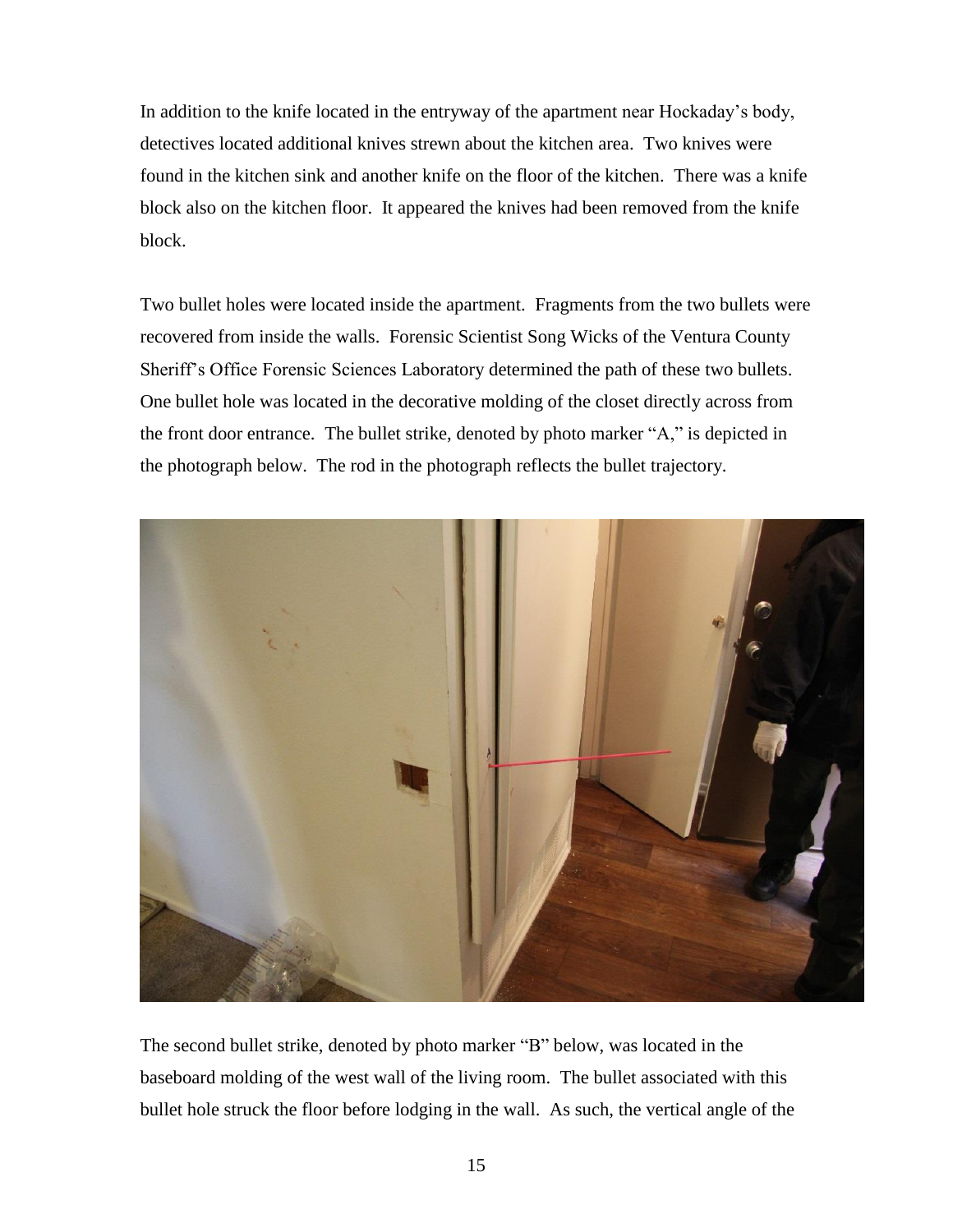In addition to the knife located in the entryway of the apartment near Hockaday's body, detectives located additional knives strewn about the kitchen area. Two knives were found in the kitchen sink and another knife on the floor of the kitchen. There was a knife block also on the kitchen floor. It appeared the knives had been removed from the knife block.

Two bullet holes were located inside the apartment. Fragments from the two bullets were recovered from inside the walls. Forensic Scientist Song Wicks of the Ventura County Sheriff's Office Forensic Sciences Laboratory determined the path of these two bullets. One bullet hole was located in the decorative molding of the closet directly across from the front door entrance. The bullet strike, denoted by photo marker "A," is depicted in the photograph below. The rod in the photograph reflects the bullet trajectory.



The second bullet strike, denoted by photo marker "B" below, was located in the baseboard molding of the west wall of the living room. The bullet associated with this bullet hole struck the floor before lodging in the wall. As such, the vertical angle of the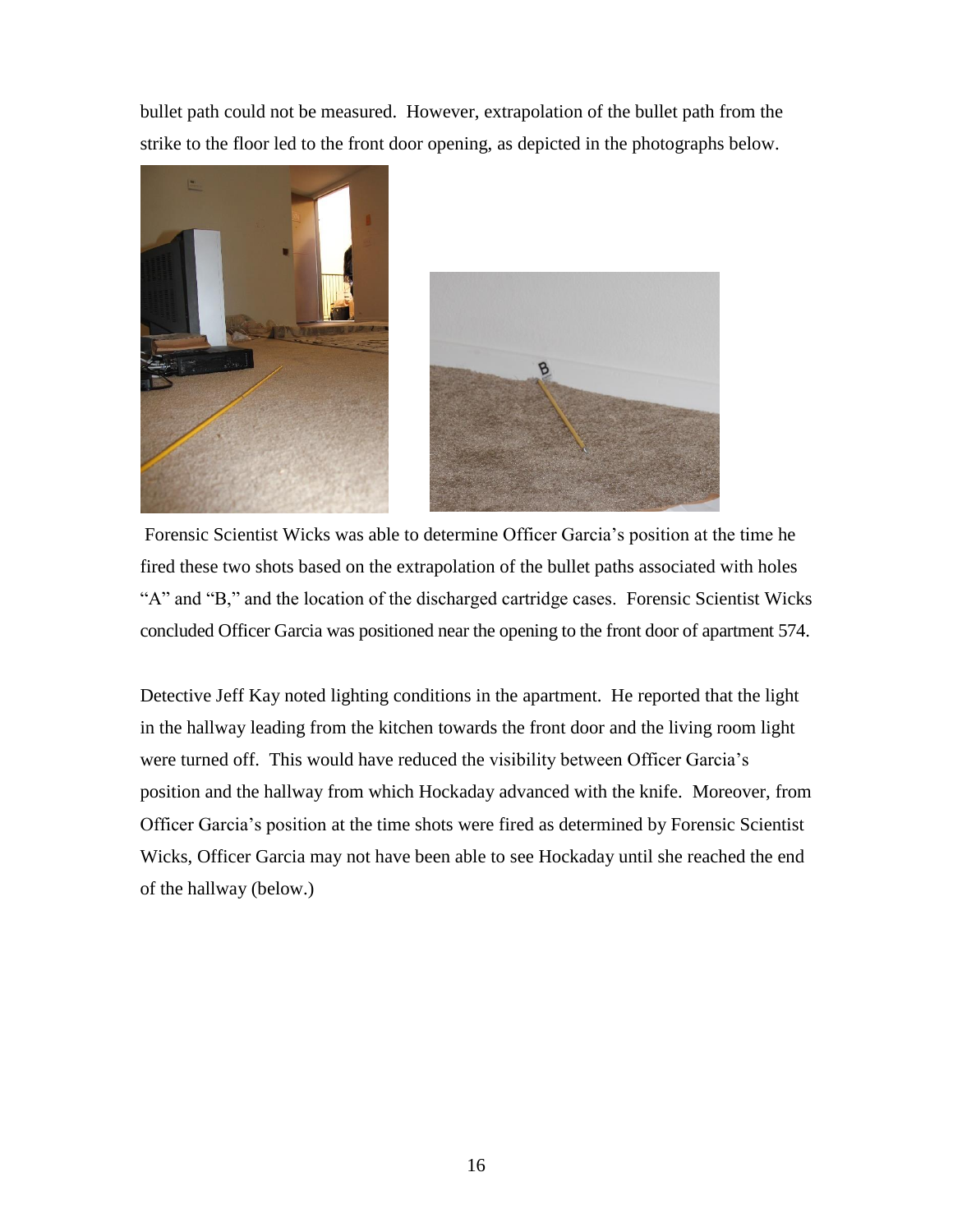bullet path could not be measured. However, extrapolation of the bullet path from the strike to the floor led to the front door opening, as depicted in the photographs below.





Forensic Scientist Wicks was able to determine Officer Garcia's position at the time he fired these two shots based on the extrapolation of the bullet paths associated with holes "A" and "B," and the location of the discharged cartridge cases. Forensic Scientist Wicks concluded Officer Garcia was positioned near the opening to the front door of apartment 574.

Detective Jeff Kay noted lighting conditions in the apartment. He reported that the light in the hallway leading from the kitchen towards the front door and the living room light were turned off. This would have reduced the visibility between Officer Garcia's position and the hallway from which Hockaday advanced with the knife. Moreover, from Officer Garcia's position at the time shots were fired as determined by Forensic Scientist Wicks, Officer Garcia may not have been able to see Hockaday until she reached the end of the hallway (below.)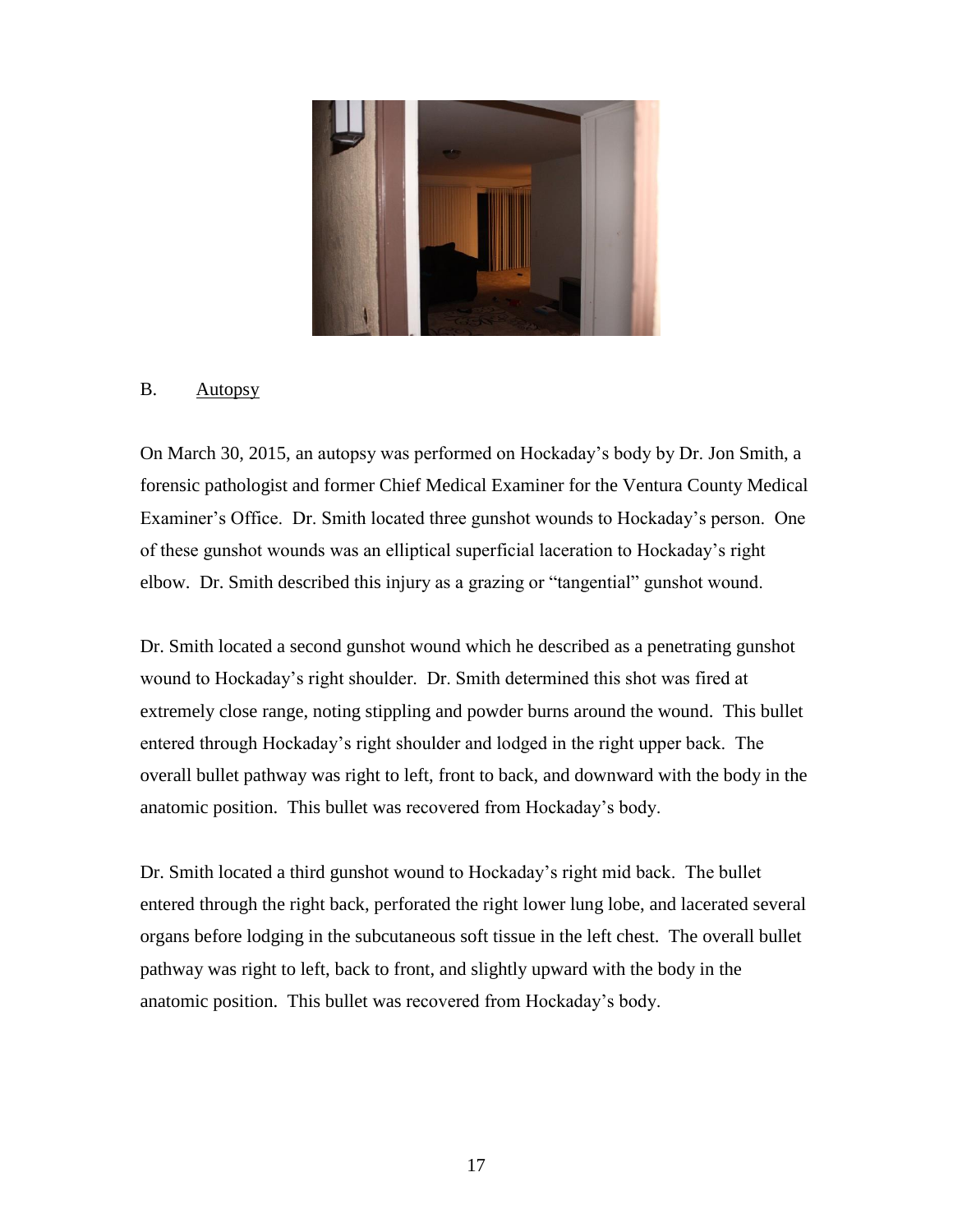

## B. Autopsy

On March 30, 2015, an autopsy was performed on Hockaday's body by Dr. Jon Smith, a forensic pathologist and former Chief Medical Examiner for the Ventura County Medical Examiner's Office. Dr. Smith located three gunshot wounds to Hockaday's person. One of these gunshot wounds was an elliptical superficial laceration to Hockaday's right elbow. Dr. Smith described this injury as a grazing or "tangential" gunshot wound.

Dr. Smith located a second gunshot wound which he described as a penetrating gunshot wound to Hockaday's right shoulder. Dr. Smith determined this shot was fired at extremely close range, noting stippling and powder burns around the wound. This bullet entered through Hockaday's right shoulder and lodged in the right upper back. The overall bullet pathway was right to left, front to back, and downward with the body in the anatomic position. This bullet was recovered from Hockaday's body.

Dr. Smith located a third gunshot wound to Hockaday's right mid back. The bullet entered through the right back, perforated the right lower lung lobe, and lacerated several organs before lodging in the subcutaneous soft tissue in the left chest. The overall bullet pathway was right to left, back to front, and slightly upward with the body in the anatomic position. This bullet was recovered from Hockaday's body.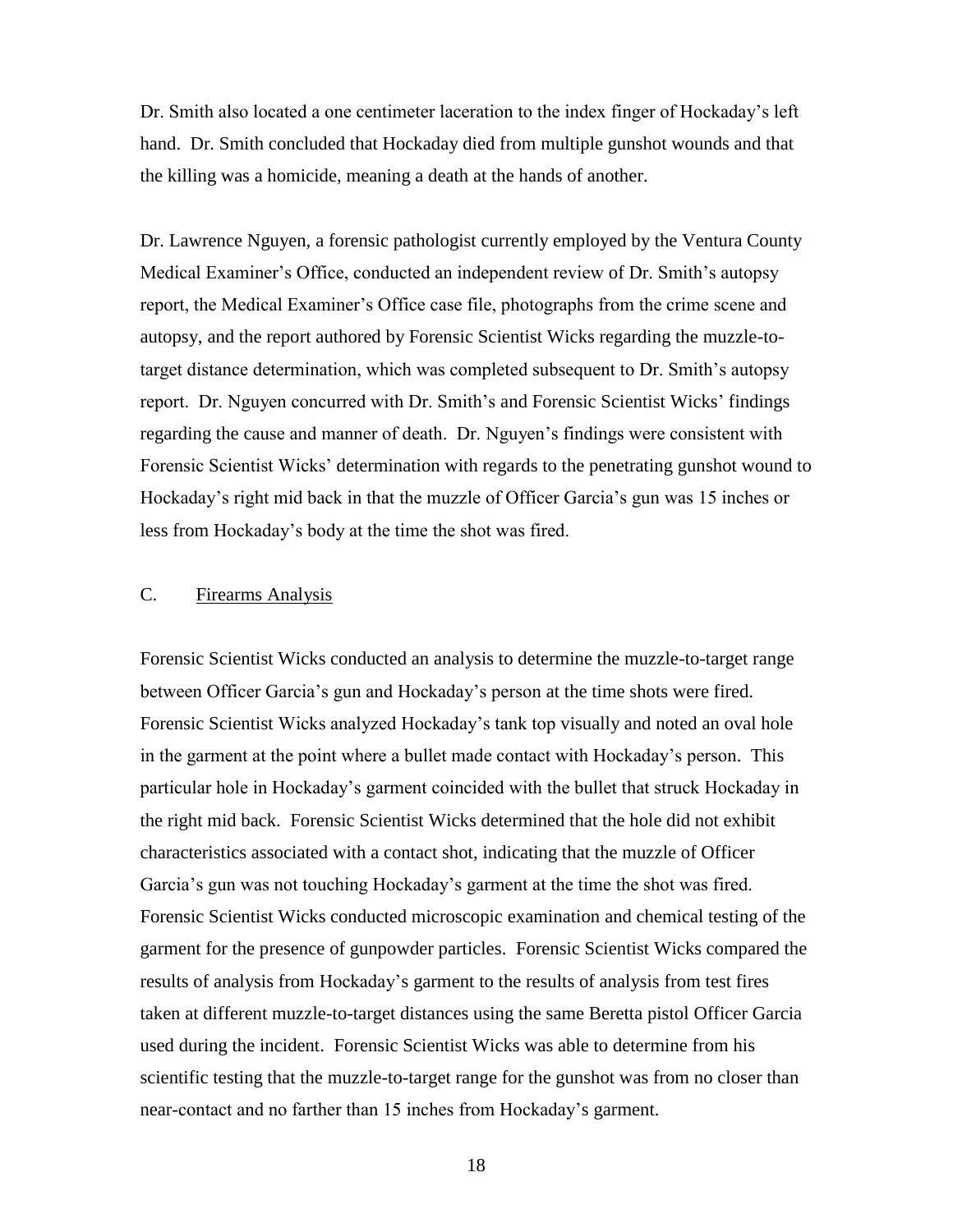Dr. Smith also located a one centimeter laceration to the index finger of Hockaday's left hand. Dr. Smith concluded that Hockaday died from multiple gunshot wounds and that the killing was a homicide, meaning a death at the hands of another.

Dr. Lawrence Nguyen, a forensic pathologist currently employed by the Ventura County Medical Examiner's Office, conducted an independent review of Dr. Smith's autopsy report, the Medical Examiner's Office case file, photographs from the crime scene and autopsy, and the report authored by Forensic Scientist Wicks regarding the muzzle-totarget distance determination, which was completed subsequent to Dr. Smith's autopsy report. Dr. Nguyen concurred with Dr. Smith's and Forensic Scientist Wicks' findings regarding the cause and manner of death. Dr. Nguyen's findings were consistent with Forensic Scientist Wicks' determination with regards to the penetrating gunshot wound to Hockaday's right mid back in that the muzzle of Officer Garcia's gun was 15 inches or less from Hockaday's body at the time the shot was fired.

## C. Firearms Analysis

Forensic Scientist Wicks conducted an analysis to determine the muzzle-to-target range between Officer Garcia's gun and Hockaday's person at the time shots were fired. Forensic Scientist Wicks analyzed Hockaday's tank top visually and noted an oval hole in the garment at the point where a bullet made contact with Hockaday's person. This particular hole in Hockaday's garment coincided with the bullet that struck Hockaday in the right mid back. Forensic Scientist Wicks determined that the hole did not exhibit characteristics associated with a contact shot, indicating that the muzzle of Officer Garcia's gun was not touching Hockaday's garment at the time the shot was fired. Forensic Scientist Wicks conducted microscopic examination and chemical testing of the garment for the presence of gunpowder particles. Forensic Scientist Wicks compared the results of analysis from Hockaday's garment to the results of analysis from test fires taken at different muzzle-to-target distances using the same Beretta pistol Officer Garcia used during the incident. Forensic Scientist Wicks was able to determine from his scientific testing that the muzzle-to-target range for the gunshot was from no closer than near-contact and no farther than 15 inches from Hockaday's garment.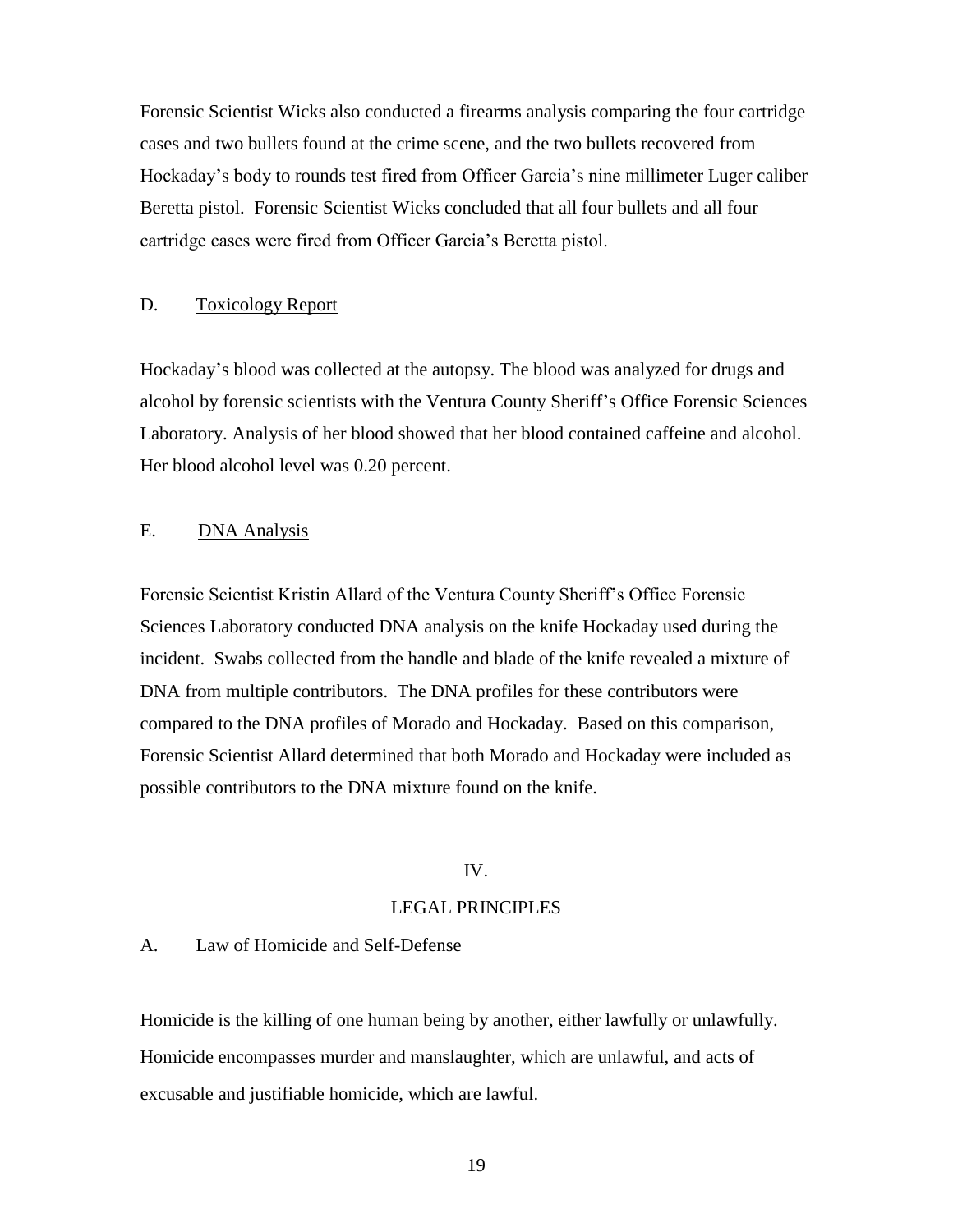Forensic Scientist Wicks also conducted a firearms analysis comparing the four cartridge cases and two bullets found at the crime scene, and the two bullets recovered from Hockaday's body to rounds test fired from Officer Garcia's nine millimeter Luger caliber Beretta pistol. Forensic Scientist Wicks concluded that all four bullets and all four cartridge cases were fired from Officer Garcia's Beretta pistol.

### D. Toxicology Report

Hockaday's blood was collected at the autopsy. The blood was analyzed for drugs and alcohol by forensic scientists with the Ventura County Sheriff's Office Forensic Sciences Laboratory. Analysis of her blood showed that her blood contained caffeine and alcohol. Her blood alcohol level was 0.20 percent.

## E. DNA Analysis

Forensic Scientist Kristin Allard of the Ventura County Sheriff's Office Forensic Sciences Laboratory conducted DNA analysis on the knife Hockaday used during the incident. Swabs collected from the handle and blade of the knife revealed a mixture of DNA from multiple contributors. The DNA profiles for these contributors were compared to the DNA profiles of Morado and Hockaday. Based on this comparison, Forensic Scientist Allard determined that both Morado and Hockaday were included as possible contributors to the DNA mixture found on the knife.

### IV.

### LEGAL PRINCIPLES

### A. Law of Homicide and Self-Defense

Homicide is the killing of one human being by another, either lawfully or unlawfully. Homicide encompasses murder and manslaughter, which are unlawful, and acts of excusable and justifiable homicide, which are lawful.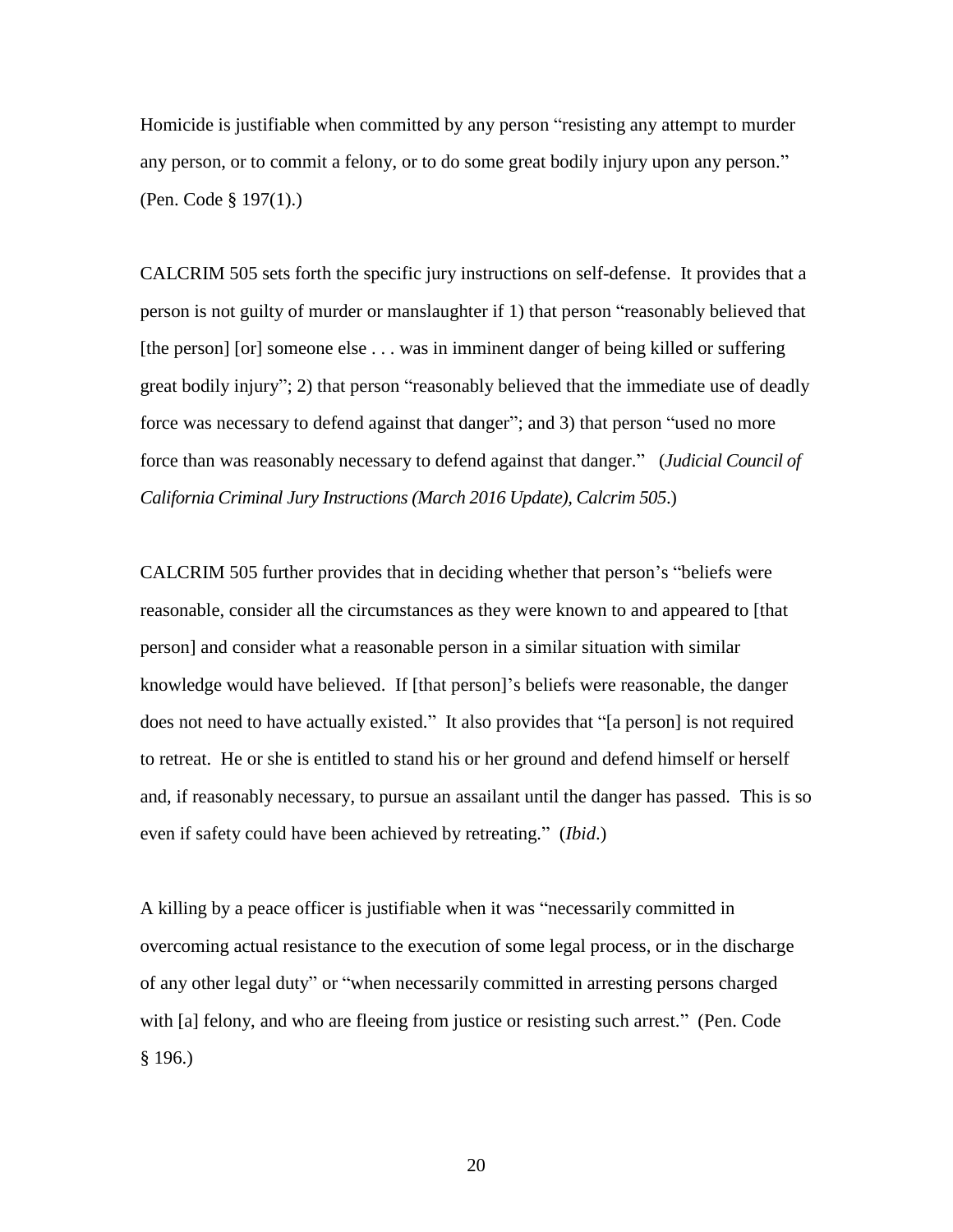Homicide is justifiable when committed by any person "resisting any attempt to murder any person, or to commit a felony, or to do some great bodily injury upon any person." (Pen. Code § 197(1).)

CALCRIM 505 sets forth the specific jury instructions on self-defense. It provides that a person is not guilty of murder or manslaughter if 1) that person "reasonably believed that [the person] [or] someone else . . . was in imminent danger of being killed or suffering great bodily injury"; 2) that person "reasonably believed that the immediate use of deadly force was necessary to defend against that danger"; and 3) that person "used no more force than was reasonably necessary to defend against that danger." (*Judicial Council of California Criminal Jury Instructions (March 2016 Update), Calcrim 505*.)

CALCRIM 505 further provides that in deciding whether that person's "beliefs were reasonable, consider all the circumstances as they were known to and appeared to [that person] and consider what a reasonable person in a similar situation with similar knowledge would have believed. If [that person]'s beliefs were reasonable, the danger does not need to have actually existed." It also provides that "[a person] is not required to retreat. He or she is entitled to stand his or her ground and defend himself or herself and, if reasonably necessary, to pursue an assailant until the danger has passed. This is so even if safety could have been achieved by retreating." (*Ibid*.)

A killing by a peace officer is justifiable when it was "necessarily committed in overcoming actual resistance to the execution of some legal process, or in the discharge of any other legal duty" or "when necessarily committed in arresting persons charged with [a] felony, and who are fleeing from justice or resisting such arrest." (Pen. Code § 196.)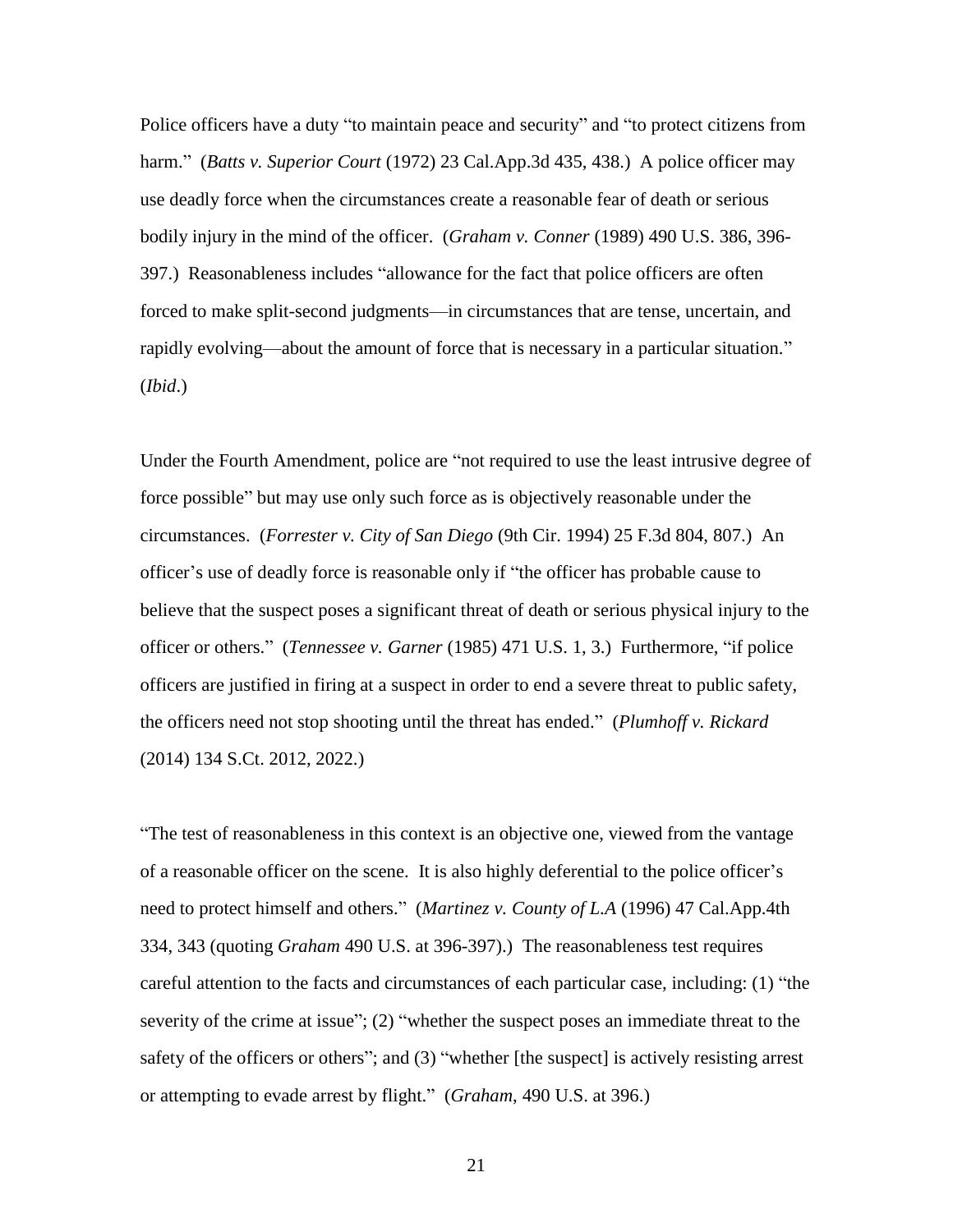Police officers have a duty "to maintain peace and security" and "to protect citizens from harm." (*Batts v. Superior Court* (1972) 23 Cal.App.3d 435, 438.) A police officer may use deadly force when the circumstances create a reasonable fear of death or serious bodily injury in the mind of the officer. (*Graham v. Conner* (1989) 490 U.S. 386, 396- 397.) Reasonableness includes "allowance for the fact that police officers are often forced to make split-second judgments—in circumstances that are tense, uncertain, and rapidly evolving—about the amount of force that is necessary in a particular situation." (*Ibid*.)

Under the Fourth Amendment, police are "not required to use the least intrusive degree of force possible" but may use only such force as is objectively reasonable under the circumstances. (*Forrester v. City of San Diego* (9th Cir. 1994) 25 F.3d 804, 807.) An officer's use of deadly force is reasonable only if "the officer has probable cause to believe that the suspect poses a significant threat of death or serious physical injury to the officer or others." (*Tennessee v. Garner* (1985) 471 U.S. 1, 3.) Furthermore, "if police officers are justified in firing at a suspect in order to end a severe threat to public safety, the officers need not stop shooting until the threat has ended." (*Plumhoff v. Rickard* (2014) 134 S.Ct. 2012, 2022.)

"The test of reasonableness in this context is an objective one, viewed from the vantage of a reasonable officer on the scene. It is also highly deferential to the police officer's need to protect himself and others." (*Martinez v. County of L.A* (1996) 47 Cal.App.4th 334, 343 (quoting *Graham* 490 U.S. at 396-397).) The reasonableness test requires careful attention to the facts and circumstances of each particular case, including: (1) "the severity of the crime at issue"; (2) "whether the suspect poses an immediate threat to the safety of the officers or others"; and (3) "whether [the suspect] is actively resisting arrest or attempting to evade arrest by flight." (*Graham*, 490 U.S. at 396.)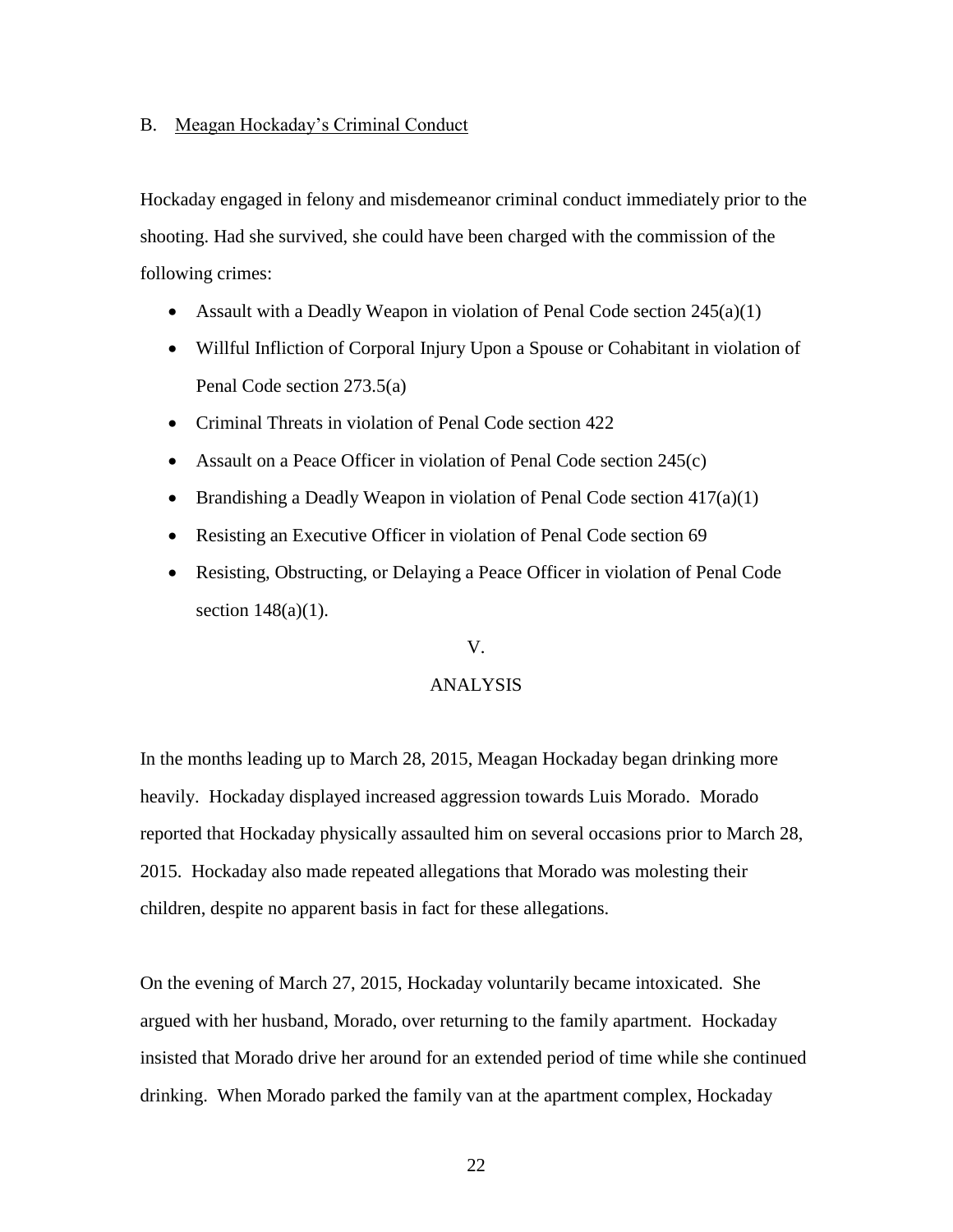### B. Meagan Hockaday's Criminal Conduct

Hockaday engaged in felony and misdemeanor criminal conduct immediately prior to the shooting. Had she survived, she could have been charged with the commission of the following crimes:

- Assault with a Deadly Weapon in violation of Penal Code section  $245(a)(1)$
- Willful Infliction of Corporal Injury Upon a Spouse or Cohabitant in violation of Penal Code section 273.5(a)
- Criminal Threats in violation of Penal Code section 422
- Assault on a Peace Officer in violation of Penal Code section 245(c)
- **•** Brandishing a Deadly Weapon in violation of Penal Code section  $417(a)(1)$
- Resisting an Executive Officer in violation of Penal Code section 69
- Resisting, Obstructing, or Delaying a Peace Officer in violation of Penal Code section  $148(a)(1)$ .

#### V.

### ANALYSIS

In the months leading up to March 28, 2015, Meagan Hockaday began drinking more heavily. Hockaday displayed increased aggression towards Luis Morado. Morado reported that Hockaday physically assaulted him on several occasions prior to March 28, 2015. Hockaday also made repeated allegations that Morado was molesting their children, despite no apparent basis in fact for these allegations.

On the evening of March 27, 2015, Hockaday voluntarily became intoxicated. She argued with her husband, Morado, over returning to the family apartment. Hockaday insisted that Morado drive her around for an extended period of time while she continued drinking. When Morado parked the family van at the apartment complex, Hockaday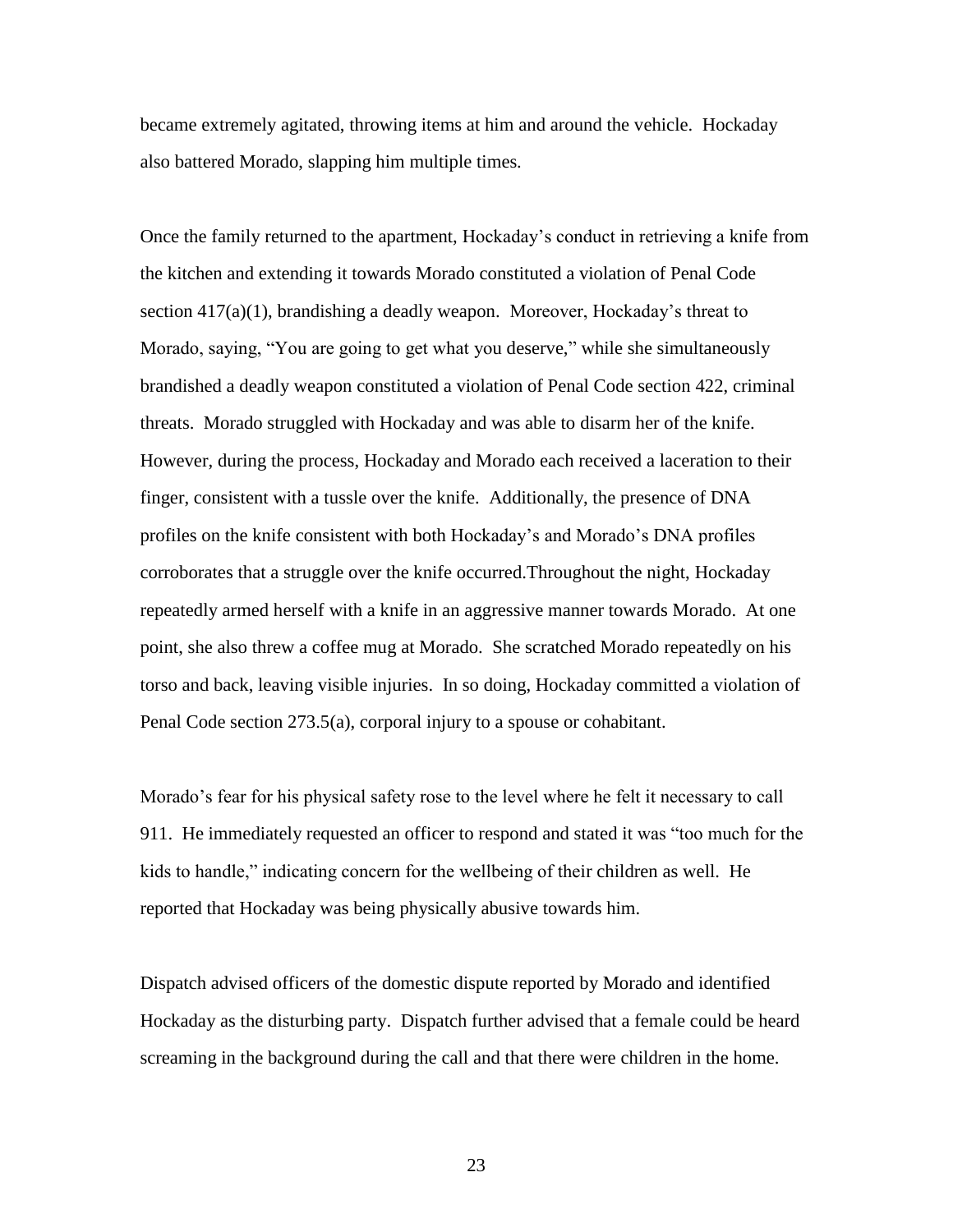became extremely agitated, throwing items at him and around the vehicle. Hockaday also battered Morado, slapping him multiple times.

Once the family returned to the apartment, Hockaday's conduct in retrieving a knife from the kitchen and extending it towards Morado constituted a violation of Penal Code section  $417(a)(1)$ , brandishing a deadly weapon. Moreover, Hockaday's threat to Morado, saying, "You are going to get what you deserve," while she simultaneously brandished a deadly weapon constituted a violation of Penal Code section 422, criminal threats. Morado struggled with Hockaday and was able to disarm her of the knife. However, during the process, Hockaday and Morado each received a laceration to their finger, consistent with a tussle over the knife. Additionally, the presence of DNA profiles on the knife consistent with both Hockaday's and Morado's DNA profiles corroborates that a struggle over the knife occurred.Throughout the night, Hockaday repeatedly armed herself with a knife in an aggressive manner towards Morado. At one point, she also threw a coffee mug at Morado. She scratched Morado repeatedly on his torso and back, leaving visible injuries. In so doing, Hockaday committed a violation of Penal Code section 273.5(a), corporal injury to a spouse or cohabitant.

Morado's fear for his physical safety rose to the level where he felt it necessary to call 911. He immediately requested an officer to respond and stated it was "too much for the kids to handle," indicating concern for the wellbeing of their children as well. He reported that Hockaday was being physically abusive towards him.

Dispatch advised officers of the domestic dispute reported by Morado and identified Hockaday as the disturbing party. Dispatch further advised that a female could be heard screaming in the background during the call and that there were children in the home.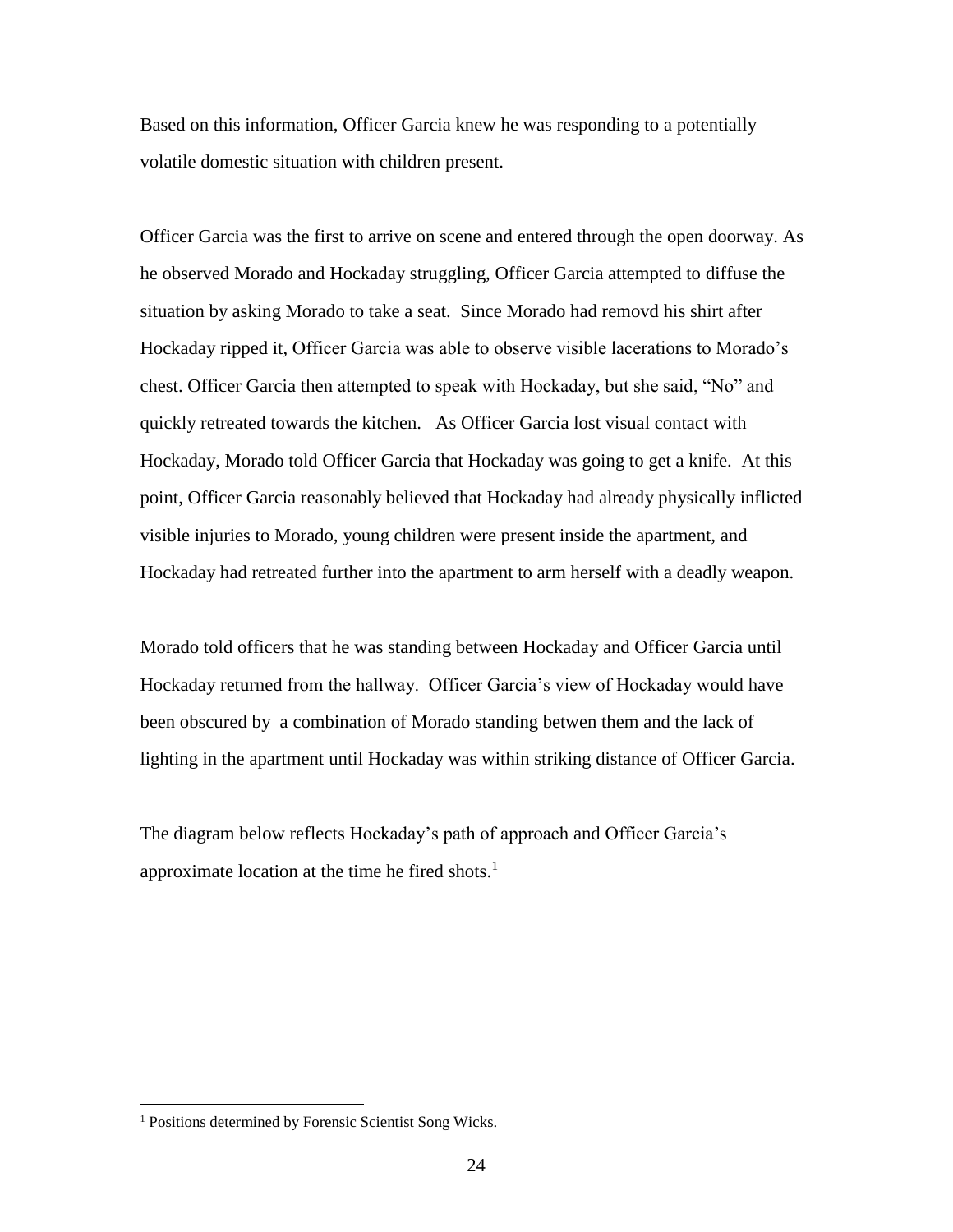Based on this information, Officer Garcia knew he was responding to a potentially volatile domestic situation with children present.

Officer Garcia was the first to arrive on scene and entered through the open doorway. As he observed Morado and Hockaday struggling, Officer Garcia attempted to diffuse the situation by asking Morado to take a seat. Since Morado had removd his shirt after Hockaday ripped it, Officer Garcia was able to observe visible lacerations to Morado's chest. Officer Garcia then attempted to speak with Hockaday, but she said, "No" and quickly retreated towards the kitchen. As Officer Garcia lost visual contact with Hockaday, Morado told Officer Garcia that Hockaday was going to get a knife. At this point, Officer Garcia reasonably believed that Hockaday had already physically inflicted visible injuries to Morado, young children were present inside the apartment, and Hockaday had retreated further into the apartment to arm herself with a deadly weapon.

Morado told officers that he was standing between Hockaday and Officer Garcia until Hockaday returned from the hallway. Officer Garcia's view of Hockaday would have been obscured by a combination of Morado standing betwen them and the lack of lighting in the apartment until Hockaday was within striking distance of Officer Garcia.

The diagram below reflects Hockaday's path of approach and Officer Garcia's approximate location at the time he fired shots.<sup>1</sup>

 $\overline{a}$ 

<sup>&</sup>lt;sup>1</sup> Positions determined by Forensic Scientist Song Wicks.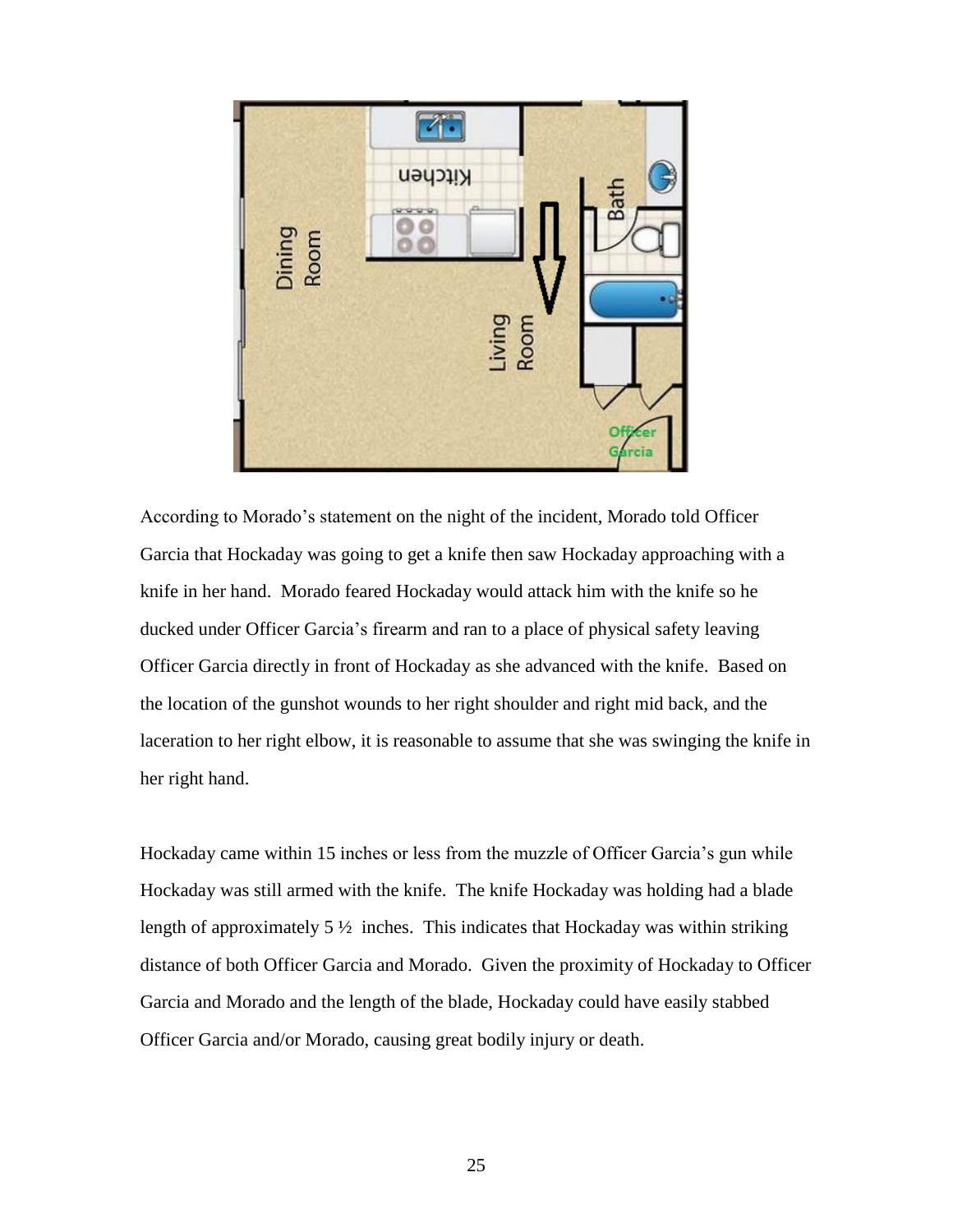

According to Morado's statement on the night of the incident, Morado told Officer Garcia that Hockaday was going to get a knife then saw Hockaday approaching with a knife in her hand. Morado feared Hockaday would attack him with the knife so he ducked under Officer Garcia's firearm and ran to a place of physical safety leaving Officer Garcia directly in front of Hockaday as she advanced with the knife. Based on the location of the gunshot wounds to her right shoulder and right mid back, and the laceration to her right elbow, it is reasonable to assume that she was swinging the knife in her right hand.

Hockaday came within 15 inches or less from the muzzle of Officer Garcia's gun while Hockaday was still armed with the knife. The knife Hockaday was holding had a blade length of approximately  $5\frac{1}{2}$  inches. This indicates that Hockaday was within striking distance of both Officer Garcia and Morado. Given the proximity of Hockaday to Officer Garcia and Morado and the length of the blade, Hockaday could have easily stabbed Officer Garcia and/or Morado, causing great bodily injury or death.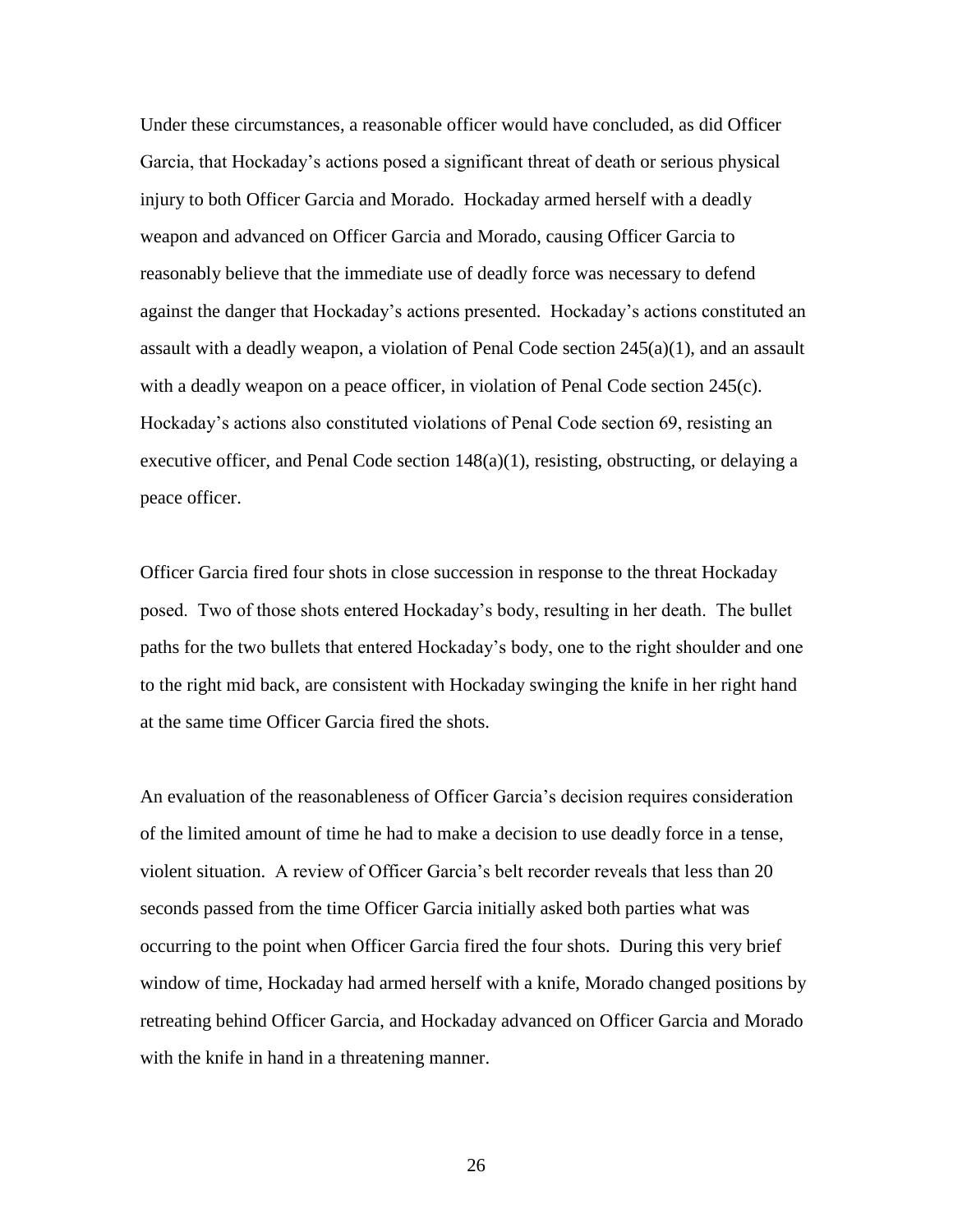Under these circumstances, a reasonable officer would have concluded, as did Officer Garcia, that Hockaday's actions posed a significant threat of death or serious physical injury to both Officer Garcia and Morado. Hockaday armed herself with a deadly weapon and advanced on Officer Garcia and Morado, causing Officer Garcia to reasonably believe that the immediate use of deadly force was necessary to defend against the danger that Hockaday's actions presented. Hockaday's actions constituted an assault with a deadly weapon, a violation of Penal Code section  $245(a)(1)$ , and an assault with a deadly weapon on a peace officer, in violation of Penal Code section 245(c). Hockaday's actions also constituted violations of Penal Code section 69, resisting an executive officer, and Penal Code section 148(a)(1), resisting, obstructing, or delaying a peace officer.

Officer Garcia fired four shots in close succession in response to the threat Hockaday posed. Two of those shots entered Hockaday's body, resulting in her death. The bullet paths for the two bullets that entered Hockaday's body, one to the right shoulder and one to the right mid back, are consistent with Hockaday swinging the knife in her right hand at the same time Officer Garcia fired the shots.

An evaluation of the reasonableness of Officer Garcia's decision requires consideration of the limited amount of time he had to make a decision to use deadly force in a tense, violent situation. A review of Officer Garcia's belt recorder reveals that less than 20 seconds passed from the time Officer Garcia initially asked both parties what was occurring to the point when Officer Garcia fired the four shots. During this very brief window of time, Hockaday had armed herself with a knife, Morado changed positions by retreating behind Officer Garcia, and Hockaday advanced on Officer Garcia and Morado with the knife in hand in a threatening manner.